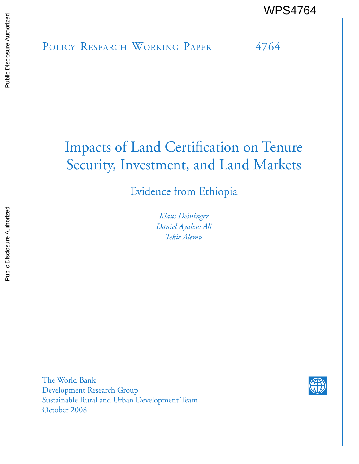POLICY RESEARCH WORKING PAPER 4764 WPS4764<br>
Media<br>
Media<br>
POLICY RESEARCH WORKING PAPER<br>
POLICY RESEARCH WORKING PAPER<br>
POLICY RESEARCH WORKING PAPER<br>
PAPER

# Impacts of Land Certification on Tenure Security, Investment, and Land Markets

Evidence from Ethiopia

*Klaus Deininger Daniel Ayalew Ali Tekie Alemu* 

The World Bank Development Research Group Sustainable Rural and Urban Development Team October 2008

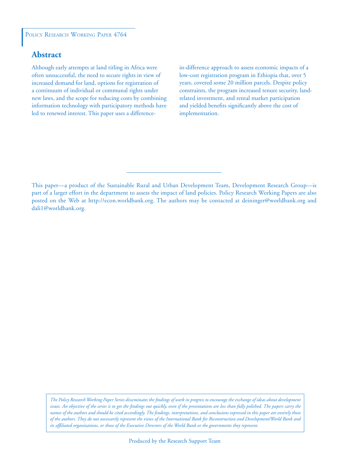# **Abstract**

Although early attempts at land titling in Africa were often unsuccessful, the need to secure rights in view of increased demand for land, options for registration of a continuum of individual or communal rights under new laws, and the scope for reducing costs by combining information technology with participatory methods have led to renewed interest. This paper uses a difference-

in-difference approach to assess economic impacts of a low-cost registration program in Ethiopia that, over 5 years, covered some 20 million parcels. Despite policy constraints, the program increased tenure security, landrelated investment, and rental market participation and yielded benefits significantly above the cost of implementation.

This paper—a product of the Sustainable Rural and Urban Development Team, Development Research Group—is part of a larger effort in the department to assess the impact of land policies. Policy Research Working Papers are also posted on the Web at http://econ.worldbank.org. The authors may be contacted at deininger@worldbank.org and dali1@worldbank.org.

*The Policy Research Working Paper Series disseminates the findings of work in progress to encourage the exchange of ideas about development issues. An objective of the series is to get the findings out quickly, even if the presentations are less than fully polished. The papers carry the names of the authors and should be cited accordingly. The findings, interpretations, and conclusions expressed in this paper are entirely those of the authors. They do not necessarily represent the views of the International Bank for Reconstruction and Development/World Bank and its affiliated organizations, or those of the Executive Directors of the World Bank or the governments they represent.*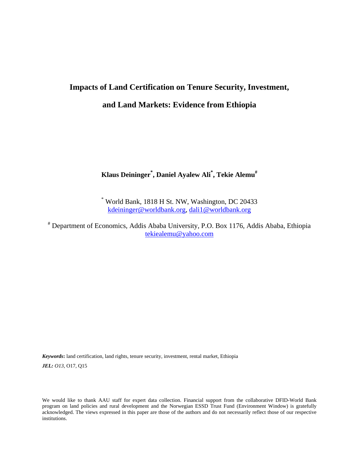# **Impacts of Land Certification on Tenure Security, Investment,**

# **and Land Markets: Evidence from Ethiopia**

# **Klaus Deininger\* , Daniel Ayalew Ali\* , Tekie Alemu#**

\* World Bank, 1818 H St. NW, Washington, DC 20433 [kdeininger@worldbank.org,](mailto:kdeininger@worldbank.org) [dali1@worldbank.org](mailto:dali1@worldbank.org)

# Department of Economics, Addis Ababa University, P.O. Box 1176, Addis Ababa, Ethiopia [tekiealemu@yahoo.com](mailto:tekiealemu@yahoo.com)

*Keywords***:** land certification, land rights, tenure security, investment, rental market, Ethiopia *JEL: O13*, O17, Q15

We would like to thank AAU staff for expert data collection. Financial support from the collaborative DFID-World Bank program on land policies and rural development and the Norwegian ESSD Trust Fund (Environment Window) is gratefully acknowledged. The views expressed in this paper are those of the authors and do not necessarily reflect those of our respective institutions.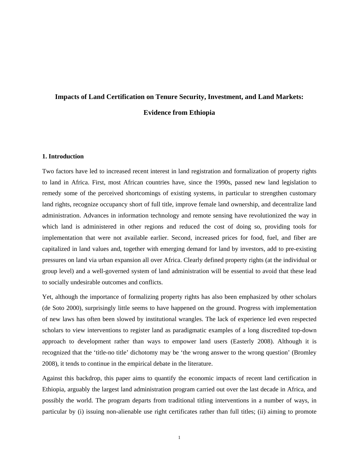# **Impacts of Land Certification on Tenure Security, Investment, and Land Markets: Evidence from Ethiopia**

#### **1. Introduction**

Two factors have led to increased recent interest in land registration and formalization of property rights to land in Africa. First, most African countries have, since the 1990s, passed new land legislation to remedy some of the perceived shortcomings of existing systems, in particular to strengthen customary land rights, recognize occupancy short of full title, improve female land ownership, and decentralize land administration. Advances in information technology and remote sensing have revolutionized the way in which land is administered in other regions and reduced the cost of doing so, providing tools for implementation that were not available earlier. Second, increased prices for food, fuel, and fiber are capitalized in land values and, together with emerging demand for land by investors, add to pre-existing pressures on land via urban expansion all over Africa. Clearly defined property rights (at the individual or group level) and a well-governed system of land administration will be essential to avoid that these lead to socially undesirable outcomes and conflicts.

Yet, although the importance of formalizing property rights has also been emphasized by other scholars (de Soto 2000), surprisingly little seems to have happened on the ground. Progress with implementation of new laws has often been slowed by institutional wrangles. The lack of experience led even respected scholars to view interventions to register land as paradigmatic examples of a long discredited top-down approach to development rather than ways to empower land users (Easterly 2008). Although it is recognized that the 'title-no title' dichotomy may be 'the wrong answer to the wrong question' (Bromley 2008), it tends to continue in the empirical debate in the literature.

Against this backdrop, this paper aims to quantify the economic impacts of recent land certification in Ethiopia, arguably the largest land administration program carried out over the last decade in Africa, and possibly the world. The program departs from traditional titling interventions in a number of ways, in particular by (i) issuing non-alienable use right certificates rather than full titles; (ii) aiming to promote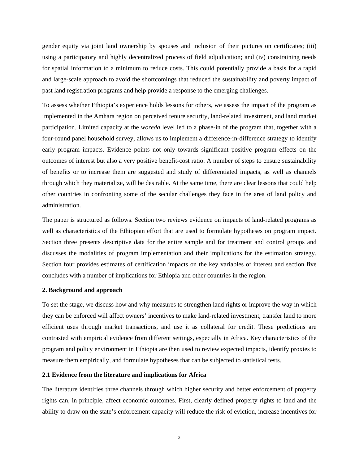gender equity via joint land ownership by spouses and inclusion of their pictures on certificates; (iii) using a participatory and highly decentralized process of field adjudication; and (iv) constraining needs for spatial information to a minimum to reduce costs. This could potentially provide a basis for a rapid and large-scale approach to avoid the shortcomings that reduced the sustainability and poverty impact of past land registration programs and help provide a response to the emerging challenges.

To assess whether Ethiopia's experience holds lessons for others, we assess the impact of the program as implemented in the Amhara region on perceived tenure security, land-related investment, and land market participation. Limited capacity at the *woreda* level led to a phase-in of the program that, together with a four-round panel household survey, allows us to implement a difference-in-difference strategy to identify early program impacts. Evidence points not only towards significant positive program effects on the outcomes of interest but also a very positive benefit-cost ratio. A number of steps to ensure sustainability of benefits or to increase them are suggested and study of differentiated impacts, as well as channels through which they materialize, will be desirable. At the same time, there are clear lessons that could help other countries in confronting some of the secular challenges they face in the area of land policy and administration.

The paper is structured as follows. Section two reviews evidence on impacts of land-related programs as well as characteristics of the Ethiopian effort that are used to formulate hypotheses on program impact. Section three presents descriptive data for the entire sample and for treatment and control groups and discusses the modalities of program implementation and their implications for the estimation strategy. Section four provides estimates of certification impacts on the key variables of interest and section five concludes with a number of implications for Ethiopia and other countries in the region.

# **2. Background and approach**

To set the stage, we discuss how and why measures to strengthen land rights or improve the way in which they can be enforced will affect owners' incentives to make land-related investment, transfer land to more efficient uses through market transactions, and use it as collateral for credit. These predictions are contrasted with empirical evidence from different settings, especially in Africa. Key characteristics of the program and policy environment in Ethiopia are then used to review expected impacts, identify proxies to measure them empirically, and formulate hypotheses that can be subjected to statistical tests.

## **2.1 Evidence from the literature and implications for Africa**

The literature identifies three channels through which higher security and better enforcement of property rights can, in principle, affect economic outcomes. First, clearly defined property rights to land and the ability to draw on the state's enforcement capacity will reduce the risk of eviction, increase incentives for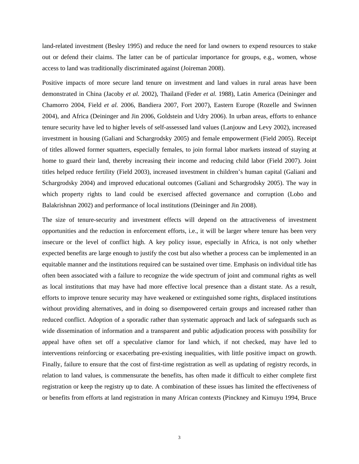land-related investment (Besley 1995) and reduce the need for land owners to expend resources to stake out or defend their claims. The latter can be of particular importance for groups, e.g., women, whose access to land was traditionally discriminated against (Joireman 2008).

Positive impacts of more secure land tenure on investment and land values in rural areas have been demonstrated in China (Jacoby *et al.* 2002), Thailand (Feder *et al.* 1988), Latin America (Deininger and Chamorro 2004, Field *et al.* 2006, Bandiera 2007, Fort 2007), Eastern Europe (Rozelle and Swinnen 2004), and Africa (Deininger and Jin 2006, Goldstein and Udry 2006). In urban areas, efforts to enhance tenure security have led to higher levels of self-assessed land values (Lanjouw and Levy 2002), increased investment in housing (Galiani and Schargrodsky 2005) and female empowerment (Field 2005). Receipt of titles allowed former squatters, especially females, to join formal labor markets instead of staying at home to guard their land, thereby increasing their income and reducing child labor (Field 2007). Joint titles helped reduce fertility (Field 2003), increased investment in children's human capital (Galiani and Schargrodsky 2004) and improved educational outcomes (Galiani and Schargrodsky 2005). The way in which property rights to land could be exercised affected governance and corruption (Lobo and Balakrishnan 2002) and performance of local institutions (Deininger and Jin 2008).

The size of tenure-security and investment effects will depend on the attractiveness of investment opportunities and the reduction in enforcement efforts, i.e., it will be larger where tenure has been very insecure or the level of conflict high. A key policy issue, especially in Africa, is not only whether expected benefits are large enough to justify the cost but also whether a process can be implemented in an equitable manner and the institutions required can be sustained over time. Emphasis on individual title has often been associated with a failure to recognize the wide spectrum of joint and communal rights as well as local institutions that may have had more effective local presence than a distant state. As a result, efforts to improve tenure security may have weakened or extinguished some rights, displaced institutions without providing alternatives, and in doing so disempowered certain groups and increased rather than reduced conflict. Adoption of a sporadic rather than systematic approach and lack of safeguards such as wide dissemination of information and a transparent and public adjudication process with possibility for appeal have often set off a speculative clamor for land which, if not checked, may have led to interventions reinforcing or exacerbating pre-existing inequalities, with little positive impact on growth. Finally, failure to ensure that the cost of first-time registration as well as updating of registry records, in relation to land values, is commensurate the benefits, has often made it difficult to either complete first registration or keep the registry up to date. A combination of these issues has limited the effectiveness of or benefits from efforts at land registration in many African contexts (Pinckney and Kimuyu 1994, Bruce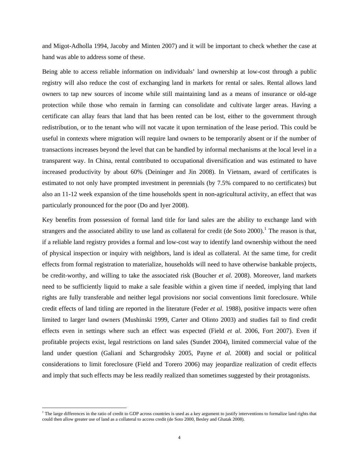and Migot-Adholla 1994, Jacoby and Minten 2007) and it will be important to check whether the case at hand was able to address some of these.

Being able to access reliable information on individuals' land ownership at low-cost through a public registry will also reduce the cost of exchanging land in markets for rental or sales. Rental allows land owners to tap new sources of income while still maintaining land as a means of insurance or old-age protection while those who remain in farming can consolidate and cultivate larger areas. Having a certificate can allay fears that land that has been rented can be lost, either to the government through redistribution, or to the tenant who will not vacate it upon termination of the lease period. This could be useful in contexts where migration will require land owners to be temporarily absent or if the number of transactions increases beyond the level that can be handled by informal mechanisms at the local level in a transparent way. In China, rental contributed to occupational diversification and was estimated to have increased productivity by about 60% (Deininger and Jin 2008). In Vietnam, award of certificates is estimated to not only have prompted investment in perennials (by 7.5% compared to no certificates) but also an 11-12 week expansion of the time households spent in non-agricultural activity, an effect that was particularly pronounced for the poor (Do and Iyer 2008).

Key benefits from possession of formal land title for land sales are the ability to exchange land with strangers and the associated ability to use land as collateral for credit (de Soto 2000).<sup>[1](#page-6-0)</sup> The reason is that, if a reliable land registry provides a formal and low-cost way to identify land ownership without the need of physical inspection or inquiry with neighbors, land is ideal as collateral. At the same time, for credit effects from formal registration to materialize, households will need to have otherwise bankable projects, be credit-worthy, and willing to take the associated risk (Boucher *et al.* 2008). Moreover, land markets need to be sufficiently liquid to make a sale feasible within a given time if needed, implying that land rights are fully transferable and neither legal provisions nor social conventions limit foreclosure. While credit effects of land titling are reported in the literature (Feder *et al.* 1988), positive impacts were often limited to larger land owners (Mushinski 1999, Carter and Olinto 2003) and studies fail to find credit effects even in settings where such an effect was expected (Field *et al.* 2006, Fort 2007). Even if profitable projects exist, legal restrictions on land sales (Sundet 2004), limited commercial value of the land under question (Galiani and Schargrodsky 2005, Payne *et al.* 2008) and social or political considerations to limit foreclosure (Field and Torero 2006) may jeopardize realization of credit effects and imply that such effects may be less readily realized than sometimes suggested by their protagonists.

 $\overline{a}$ 

<span id="page-6-0"></span><sup>&</sup>lt;sup>1</sup> The large differences in the ratio of credit to GDP across countries is used as a key argument to justify interventions to formalize land rights that could then allow greater use of land as a collateral to access credit (de Soto 2000, Besley and Ghatak 2008).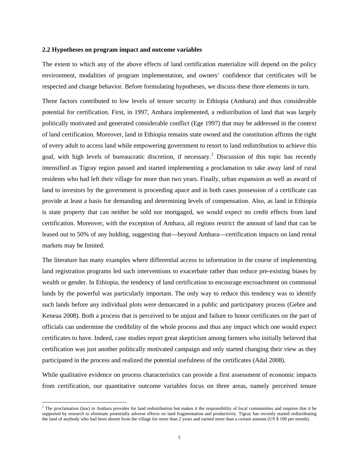#### **2.2 Hypotheses on program impact and outcome variables**

The extent to which any of the above effects of land certification materialize will depend on the policy environment, modalities of program implementation, and owners' confidence that certificates will be respected and change behavior. Before formulating hypotheses, we discuss these three elements in turn.

Three factors contributed to low levels of tenure security in Ethiopia (Amhara) and thus considerable potential for certification. First, in 1997, Amhara implemented, a redistribution of land that was largely politically motivated and generated considerable conflict (Ege 1997) that may be addressed in the context of land certification. Moreover, land in Ethiopia remains state owned and the constitution affirms the right of every adult to access land while empowering government to resort to land redistribution to achieve this goal, with high levels of bureaucratic discretion, if necessary.<sup>[2](#page-7-0)</sup> Discussion of this topic has recently intensified as Tigray region passed and started implementing a proclamation to take away land of rural residents who had left their village for more than two years. Finally, urban expansion as well as award of land to investors by the government is proceeding apace and in both cases possession of a certificate can provide at least a basis for demanding and determining levels of compensation. Also, as land in Ethiopia is state property that can neither be sold nor mortgaged, we would expect no credit effects from land certification. Moreover, with the exception of Amhara, all regions restrict the amount of land that can be leased out to 50% of any holding, suggesting that—beyond Amhara—certification impacts on land rental markets may be limited.

The literature has many examples where differential access to information in the course of implementing land registration programs led such interventions to exacerbate rather than reduce pre-existing biases by wealth or gender. In Ethiopia, the tendency of land certification to encourage encroachment on communal lands by the powerful was particularly important. The only way to reduce this tendency was to identify such lands before any individual plots were demarcated in a public and participatory process (Gebre and Keneaa 2008). Both a process that is perceived to be unjust and failure to honor certificates on the part of officials can undermine the credibility of the whole process and thus any impact which one would expect certificates to have. Indeed, case studies report great skepticism among farmers who initially believed that certification was just another politically motivated campaign and only started changing their view as they participated in the process and realized the potential usefulness of the certificates (Adal 2008).

While qualitative evidence on process characteristics can provide a first assessment of economic impacts from certification, our quantitative outcome variables focus on three areas, namely perceived tenure

 $\overline{a}$ 

<span id="page-7-0"></span><sup>&</sup>lt;sup>2</sup> The proclamation (law) in Amhara provides for land redistribution but makes it the responsibility of local communities and requires that it be supported by research to eliminate potentially adverse effects on land fragmentation and productivity. Tigray has recently started redistributing the land of anybody who had been absent from the village for more than 2 years and earned more than a certain amount (US \$ 100 per month).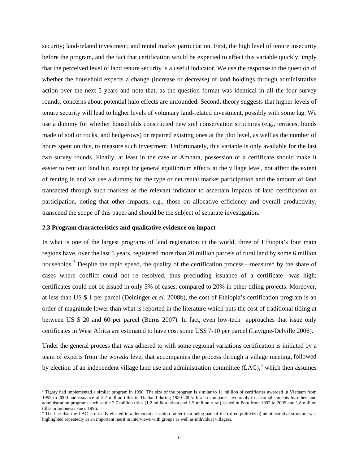security; land-related investment; and rental market participation. First, the high level of tenure insecurity before the program, and the fact that certification would be expected to affect this variable quickly, imply that the perceived level of land tenure security is a useful indicator. We use the response to the question of whether the household expects a change (increase or decrease) of land holdings through administrative action over the next 5 years and note that, as the question format was identical in all the four survey rounds, concerns about potential halo effects are unfounded. Second, theory suggests that higher levels of tenure security will lead to higher levels of voluntary land-related investment, possibly with some lag. We use a dummy for whether households constructed new soil conservation structures (e.g., terraces, bunds made of soil or rocks, and hedgerows) or repaired existing ones at the plot level, as well as the number of hours spent on this, to measure such investment. Unfortunately, this variable is only available for the last two survey rounds. Finally, at least in the case of Amhara, possession of a certificate should make it easier to rent out land but, except for general equilibrium effects at the village level, not affect the extent of renting in and we use a dummy for the type or net rental market participation and the amount of land transacted through such markets as the relevant indicator to ascertain impacts of land certification on participation, noting that other impacts, e.g., those on allocative efficiency and overall productivity, transcend the scope of this paper and should be the subject of separate investigation.

#### **2.3 Program characteristics and qualitative evidence on impact**

 $\overline{a}$ 

In what is one of the largest programs of land registration in the world, three of Ethiopia's four main regions have, over the last 5 years, registered more than 20 million parcels of rural land by some 6 million households.<sup>[3](#page-8-0)</sup> Despite the rapid speed, the quality of the certification process—measured by the share of cases where conflict could not re resolved, thus precluding issuance of a certificate—was high; certificates could not be issued in only 5% of cases, compared to 20% in other titling projects. Moreover, at less than US \$ 1 per parcel (Deininger *et al.* 2008b), the cost of Ethiopia's certification program is an order of magnitude lower than what is reported in the literature which puts the cost of traditional titling at between US \$ 20 and 60 per parcel (Burns 2007). In fact, even low-tech approaches that issue only certificates in West Africa are estimated to have cost some US\$ 7-10 per parcel (Lavigne-Delville 2006).

Under the general process that was adhered to with some regional variations certification is initiated by a team of experts from the *woreda* level that accompanies the process through a village meeting, followed by election of an independent village land use and administration committee  $(LAC)$ ,<sup>[4](#page-8-1)</sup> which then assumes

<span id="page-8-0"></span><sup>&</sup>lt;sup>3</sup> Tigray had implemented a similar program in 1998. The size of the program is similar to 11 million of certificates awarded in Vietnam from 1993 to 2000 and issuance of 8.7 million titles in Thailand during 1980-2005. It also compares favourably to accomplishments by other land administration programs such as the 2.7 million titles (1.2 million urban and 1.5 million rural) issued in Peru from 1992 to 2005 and 1.8 million titles in Indonesia since 1996.

<span id="page-8-1"></span><sup>&</sup>lt;sup>4</sup> The fact that the LAC is directly elected in a democratic fashion rather than being part of the (often politicized) administrative structure was highlighted repeatedly as an important merit in interviews with groups as well as individual villagers.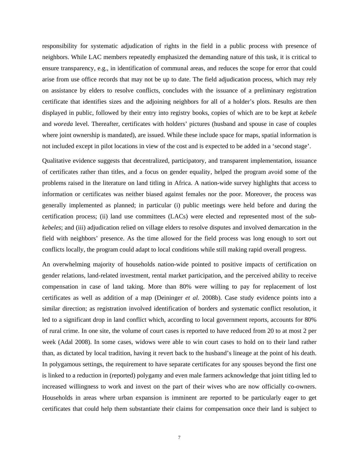responsibility for systematic adjudication of rights in the field in a public process with presence of neighbors. While LAC members repeatedly emphasized the demanding nature of this task, it is critical to ensure transparency, e.g., in identification of communal areas, and reduces the scope for error that could arise from use office records that may not be up to date. The field adjudication process, which may rely on assistance by elders to resolve conflicts, concludes with the issuance of a preliminary registration certificate that identifies sizes and the adjoining neighbors for all of a holder's plots. Results are then displayed in public, followed by their entry into registry books, copies of which are to be kept at *kebele* and *woreda* level. Thereafter, certificates with holders' pictures (husband and spouse in case of couples where joint ownership is mandated), are issued. While these include space for maps, spatial information is not included except in pilot locations in view of the cost and is expected to be added in a 'second stage'.

Qualitative evidence suggests that decentralized, participatory, and transparent implementation, issuance of certificates rather than titles, and a focus on gender equality, helped the program avoid some of the problems raised in the literature on land titling in Africa. A nation-wide survey highlights that access to information or certificates was neither biased against females nor the poor. Moreover, the process was generally implemented as planned; in particular (i) public meetings were held before and during the certification process; (ii) land use committees (LACs) were elected and represented most of the sub*kebeles*; and (iii) adjudication relied on village elders to resolve disputes and involved demarcation in the field with neighbors' presence. As the time allowed for the field process was long enough to sort out conflicts locally, the program could adapt to local conditions while still making rapid overall progress.

An overwhelming majority of households nation-wide pointed to positive impacts of certification on gender relations, land-related investment, rental market participation, and the perceived ability to receive compensation in case of land taking. More than 80% were willing to pay for replacement of lost certificates as well as addition of a map (Deininger *et al.* 2008b). Case study evidence points into a similar direction; as registration involved identification of borders and systematic conflict resolution, it led to a significant drop in land conflict which, according to local government reports, accounts for 80% of rural crime. In one site, the volume of court cases is reported to have reduced from 20 to at most 2 per week (Adal 2008). In some cases, widows were able to win court cases to hold on to their land rather than, as dictated by local tradition, having it revert back to the husband's lineage at the point of his death. In polygamous settings, the requirement to have separate certificates for any spouses beyond the first one is linked to a reduction in (reported) polygamy and even male farmers acknowledge that joint titling led to increased willingness to work and invest on the part of their wives who are now officially co-owners. Households in areas where urban expansion is imminent are reported to be particularly eager to get certificates that could help them substantiate their claims for compensation once their land is subject to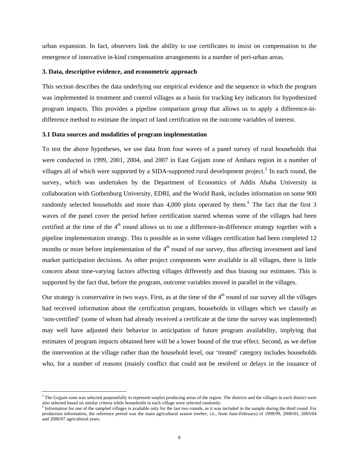urban expansion. In fact, observers link the ability to use certificates to insist on compensation to the emergence of innovative in-kind compensation arrangements in a number of peri-urban areas.

## **3. Data, descriptive evidence, and econometric approach**

This section describes the data underlying our empirical evidence and the sequence in which the program was implemented in treatment and control villages as a basis for tracking key indicators for hypothesized program impacts. This provides a pipeline comparison group that allows us to apply a difference-indifference method to estimate the impact of land certification on the outcome variables of interest.

#### **3.1 Data sources and modalities of program implementation**

 $\overline{a}$ 

To test the above hypotheses, we use data from four waves of a panel survey of rural households that were conducted in 1999, 2001, 2004, and 2007 in East Gojjam zone of Amhara region in a number of villages all of which were supported by a SIDA-supported rural development project.<sup>[5](#page-10-0)</sup> In each round, the survey, which was undertaken by the Department of Economics of Addis Ababa University in collaboration with Gothenburg University, EDRI, and the World Bank, includes information on some 900 randomly selected households and more than 4,000 plots operated by them.<sup>[6](#page-10-1)</sup> The fact that the first 3 waves of the panel cover the period before certification started whereas some of the villages had been certified at the time of the  $4<sup>th</sup>$  round allows us to use a difference-in-difference strategy together with a pipeline implementation strategy. This is possible as in some villages certification had been completed 12 months or more before implementation of the  $4<sup>th</sup>$  round of our survey, thus affecting investment and land market participation decisions. As other project components were available in all villages, there is little concern about time-varying factors affecting villages differently and thus biasing our estimates. This is supported by the fact that, before the program, outcome variables moved in parallel in the villages.

Our strategy is conservative in two ways. First, as at the time of the  $4<sup>th</sup>$  round of our survey all the villages had received information about the certification program, households in villages which we classify as 'non-certified' (some of whom had already received a certificate at the time the survey was implemented) may well have adjusted their behavior in anticipation of future program availability, implying that estimates of program impacts obtained here will be a lower bound of the true effect. Second, as we define the intervention at the village rather than the household level, our 'treated' category includes households who, for a number of reasons (mainly conflict that could not be resolved or delays in the issuance of

<span id="page-10-0"></span> $5$  The Gojjam zone was selected purposefully to represent surplus producing areas of the region. The districts and the villages in each district were also selected based on similar criteria while households in each village were selected randomly.<br><sup>6</sup> Information for one of the sampled villages is available only for the last two rounds, as it was included in the sample d

<span id="page-10-1"></span>production information, the reference period was the main agricultural season (*meher*, i.e., from June-February) of 1998/99, 2000/01, 2003/04 and 2006/07 agricultural years.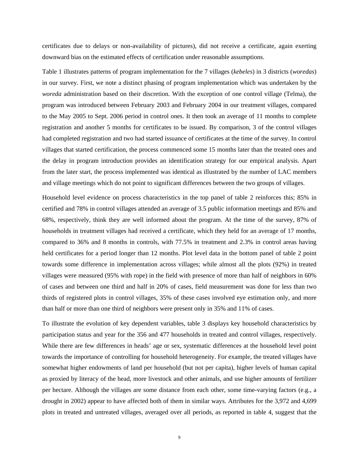certificates due to delays or non-availability of pictures), did not receive a certificate, again exerting downward bias on the estimated effects of certification under reasonable assumptions.

Table 1 illustrates patterns of program implementation for the 7 villages (*kebeles*) in 3 districts (*woredas*) in our survey. First, we note a distinct phasing of program implementation which was undertaken by the *woreda* administration based on their discretion. With the exception of one control village (Telma), the program was introduced between February 2003 and February 2004 in our treatment villages, compared to the May 2005 to Sept. 2006 period in control ones. It then took an average of 11 months to complete registration and another 5 months for certificates to be issued. By comparison, 3 of the control villages had completed registration and two had started issuance of certificates at the time of the survey. In control villages that started certification, the process commenced some 15 months later than the treated ones and the delay in program introduction provides an identification strategy for our empirical analysis. Apart from the later start, the process implemented was identical as illustrated by the number of LAC members and village meetings which do not point to significant differences between the two groups of villages.

Household level evidence on process characteristics in the top panel of table 2 reinforces this; 85% in certified and 78% in control villages attended an average of 3.5 public information meetings and 85% and 68%, respectively, think they are well informed about the program. At the time of the survey, 87% of households in treatment villages had received a certificate, which they held for an average of 17 months, compared to 36% and 8 months in controls, with 77.5% in treatment and 2.3% in control areas having held certificates for a period longer than 12 months. Plot level data in the bottom panel of table 2 point towards some difference in implementation across villages; while almost all the plots (92%) in treated villages were measured (95% with rope) in the field with presence of more than half of neighbors in 60% of cases and between one third and half in 20% of cases, field measurement was done for less than two thirds of registered plots in control villages, 35% of these cases involved eye estimation only, and more than half or more than one third of neighbors were present only in 35% and 11% of cases.

To illustrate the evolution of key dependent variables, table 3 displays key household characteristics by participation status and year for the 356 and 477 households in treated and control villages, respectively. While there are few differences in heads' age or sex, systematic differences at the household level point towards the importance of controlling for household heterogeneity. For example, the treated villages have somewhat higher endowments of land per household (but not per capita), higher levels of human capital as proxied by literacy of the head, more livestock and other animals, and use higher amounts of fertilizer per hectare. Although the villages are some distance from each other, some time-varying factors (e.g., a drought in 2002) appear to have affected both of them in similar ways. Attributes for the 3,972 and 4,699 plots in treated and untreated villages, averaged over all periods, as reported in table 4, suggest that the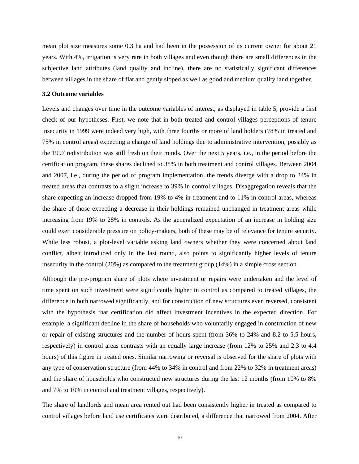mean plot size measures some 0.3 ha and had been in the possession of its current owner for about 21 years. With 4%, irrigation is very rare in both villages and even though there are small differences in the subjective land attributes (land quality and incline), there are no statistically significant differences between villages in the share of flat and gently sloped as well as good and medium quality land together.

#### **3.2 Outcome variables**

Levels and changes over time in the outcome variables of interest, as displayed in table 5, provide a first check of our hypotheses. First, we note that in both treated and control villages perceptions of tenure insecurity in 1999 were indeed very high, with three fourths or more of land holders (78% in treated and 75% in control areas) expecting a change of land holdings due to administrative intervention, possibly as the 1997 redistribution was still fresh on their minds. Over the next 5 years, i.e., in the period before the certification program, these shares declined to 38% in both treatment and control villages. Between 2004 and 2007, i.e., during the period of program implementation, the trends diverge with a drop to 24% in treated areas that contrasts to a slight increase to 39% in control villages. Disaggregation reveals that the share expecting an increase dropped from 19% to 4% in treatment and to 11% in control areas, whereas the share of those expecting a decrease in their holdings remained unchanged in treatment areas while increasing from 19% to 28% in controls. As the generalized expectation of an increase in holding size could exert considerable pressure on policy-makers, both of these may be of relevance for tenure security. While less robust, a plot-level variable asking land owners whether they were concerned about land conflict, albeit introduced only in the last round, also points to significantly higher levels of tenure insecurity in the control (20%) as compared to the treatment group (14%) in a simple cross section.

Although the pre-program share of plots where investment or repairs were undertaken and the level of time spent on such investment were significantly higher in control as compared to treated villages, the difference in both narrowed significantly, and for construction of new structures even reversed, consistent with the hypothesis that certification did affect investment incentives in the expected direction. For example, a significant decline in the share of households who voluntarily engaged in construction of new or repair of existing structures and the number of hours spent (from 36% to 24% and 8.2 to 5.5 hours, respectively) in control areas contrasts with an equally large increase (from 12% to 25% and 2.3 to 4.4 hours) of this figure in treated ones. Similar narrowing or reversal is observed for the share of plots with any type of conservation structure (from 44% to 34% in control and from 22% to 32% in treatment areas) and the share of households who constructed new structures during the last 12 months (from 10% to 8% and 7% to 10% in control and treatment villages, respectively).

The share of landlords and mean area rented out had been consistently higher in treated as compared to control villages before land use certificates were distributed, a difference that narrowed from 2004. After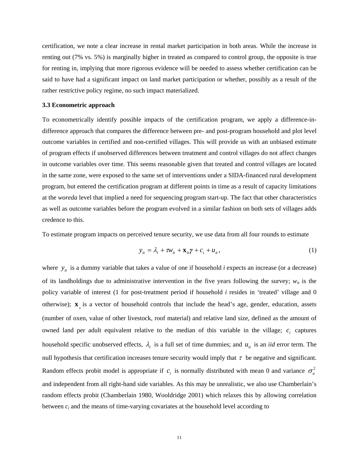certification, we note a clear increase in rental market participation in both areas. While the increase in renting out (7% vs. 5%) is marginally higher in treated as compared to control group, the opposite is true for renting in, implying that more rigorous evidence will be needed to assess whether certification can be said to have had a significant impact on land market participation or whether, possibly as a result of the rather restrictive policy regime, no such impact materialized.

#### **3.3 Econometric approach**

To econometrically identify possible impacts of the certification program, we apply a difference-indifference approach that compares the difference between pre- and post-program household and plot level outcome variables in certified and non-certified villages. This will provide us with an unbiased estimate of program effects if unobserved differences between treatment and control villages do not affect changes in outcome variables over time. This seems reasonable given that treated and control villages are located in the same zone, were exposed to the same set of interventions under a SIDA-financed rural development program, but entered the certification program at different points in time as a result of capacity limitations at the *woreda* level that implied a need for sequencing program start-up. The fact that other characteristics as well as outcome variables before the program evolved in a similar fashion on both sets of villages adds credence to this.

<span id="page-13-0"></span>To estimate program impacts on perceived tenure security, we use data from all four rounds to estimate

$$
y_{it} = \lambda_t + \tau w_{it} + \mathbf{x}_{it} \mathbf{y} + c_i + u_{it},
$$
\n(1)

where  $y_{ij}$  is a dummy variable that takes a value of one if household *i* expects an increase (or a decrease) of its landholdings due to administrative intervention in the five years following the survey;  $w_{it}$  is the policy variable of interest (1 for post-treatment period if household *i* resides in 'treated' village and 0 otherwise);  $\mathbf{x}_{\mu}$  is a vector of household controls that include the head's age, gender, education, assets (number of oxen, value of other livestock, roof material) and relative land size, defined as the amount of owned land per adult equivalent relative to the median of this variable in the village;  $c_i$  captures household specific unobserved effects,  $\lambda_t$  is a full set of time dummies; and  $u_{it}$  is an *iid* error term. The null hypothesis that certification increases tenure security would imply that  $\tau$  be negative and significant. Random effects probit model is appropriate if  $c_i$  is normally distributed with mean 0 and variance  $\sigma_u^2$ and independent from all right-hand side variables. As this may be unrealistic, we also use Chamberlain's random effects probit (Chamberlain 1980, Wooldridge 2001) which relaxes this by allowing correlation between *ci* and the means of time-varying covariates at the household level according to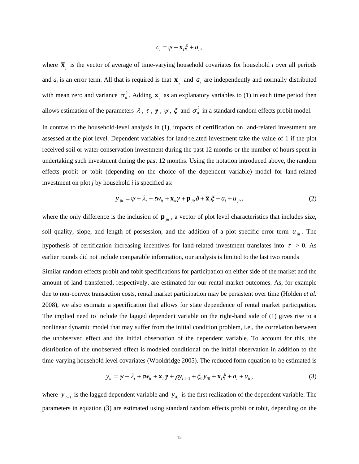$$
c_i = \psi + \overline{\mathbf{x}}_i \xi + a_i,
$$

where  $\bar{\mathbf{x}}_i$  is the vector of average of time-varying household covariates for household *i* over all periods and  $a_i$  is an error term. All that is required is that  $\mathbf{x}_i$  and  $a_i$  are independently and normally distributed with mean zero and variance  $\sigma_a^2$ . Adding  $\bar{\mathbf{x}}_i$  as an explanatory variables to [\(1\)](#page-13-0) in each time period then allows estimation of the parameters  $\lambda$ ,  $\tau$ ,  $\gamma$ ,  $\psi$ ,  $\xi$  and  $\sigma_a^2$  in a standard random effects probit model.

In contras to the household-level analysis in ([1](#page-13-0)), impacts of certification on land-related investment are assessed at the plot level. Dependent variables for land-related investment take the value of 1 if the plot received soil or water conservation investment during the past 12 months or the number of hours spent in undertaking such investment during the past 12 months. Using the notation introduced above, the random effects probit or tobit (depending on the choice of the dependent variable) model for land-related investment on plot *j* by household *i* is specified as:

$$
y_{jit} = \psi + \lambda_t + \tau w_{it} + \mathbf{x}_{it} \gamma + \mathbf{p}_{jit} \delta + \overline{\mathbf{x}}_i \xi + a_i + u_{jit},
$$
 (2)

where the only difference is the inclusion of  $\mathbf{p}_{jit}$ , a vector of plot level characteristics that includes size, soil quality, slope, and length of possession, and the addition of a plot specific error term  $u_{ji}$ . The hypothesis of certification increasing incentives for land-related investment translates into  $\tau > 0$ . As earlier rounds did not include comparable information, our analysis is limited to the last two rounds

Similar random effects probit and tobit specifications for participation on either side of the market and the amount of land transferred, respectively, are estimated for our rental market outcomes. As, for example due to non-convex transaction costs, rental market participation may be persistent over time (Holden *et al.* 2008), we also estimate a specification that allows for state dependence of rental market participation. The implied need to include the lagged dependent variable on the right-hand side of ([1](#page-13-0)) gives rise to a nonlinear dynamic model that may suffer from the initial condition problem, i.e., the correlation between the unobserved effect and the initial observation of the dependent variable. To account for this, the distribution of the unobserved effect is modeled conditional on the initial observation in addition to the time-varying household level covariates (Wooldridge 2005). The reduced form equation to be estimated is

$$
y_{it} = \psi + \lambda_t + \tau w_{it} + \mathbf{X}_{it}\gamma + \rho y_{i,t-1} + \xi_0 y_{i0} + \overline{\mathbf{X}}_i \xi + a_i + u_{it},
$$
\n(3)

<span id="page-14-0"></span>where  $y_{ii-1}$  is the lagged dependent variable and  $y_{i0}$  is the first realization of the dependent variable. The parameters in equation ( [3\)](#page-14-0) are estimated using standard random effects probit or tobit, depending on the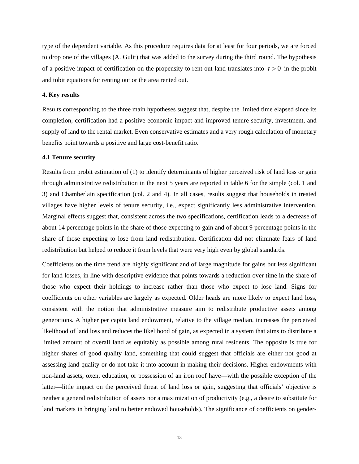type of the dependent variable. As this procedure requires data for at least for four periods, we are forced to drop one of the villages (A. Gulit) that was added to the survey during the third round. The hypothesis of a positive impact of certification on the propensity to rent out land translates into  $\tau > 0$  in the probit and tobit equations for renting out or the area rented out.

#### **4. Key results**

Results corresponding to the three main hypotheses suggest that, despite the limited time elapsed since its completion, certification had a positive economic impact and improved tenure security, investment, and supply of land to the rental market. Even conservative estimates and a very rough calculation of monetary benefits point towards a positive and large cost-benefit ratio.

#### **4.1 Tenure security**

Results from probit estimation of ([1](#page-13-0)) to identify determinants of higher perceived risk of land loss or gain through administrative redistribution in the next 5 years are reported in table 6 for the simple (col. 1 and 3) and Chamberlain specification (col. 2 and 4). In all cases, results suggest that households in treated villages have higher levels of tenure security, i.e., expect significantly less administrative intervention. Marginal effects suggest that, consistent across the two specifications, certification leads to a decrease of about 14 percentage points in the share of those expecting to gain and of about 9 percentage points in the share of those expecting to lose from land redistribution. Certification did not eliminate fears of land redistribution but helped to reduce it from levels that were very high even by global standards.

Coefficients on the time trend are highly significant and of large magnitude for gains but less significant for land losses, in line with descriptive evidence that points towards a reduction over time in the share of those who expect their holdings to increase rather than those who expect to lose land. Signs for coefficients on other variables are largely as expected. Older heads are more likely to expect land loss, consistent with the notion that administrative measure aim to redistribute productive assets among generations. A higher per capita land endowment, relative to the village median, increases the perceived likelihood of land loss and reduces the likelihood of gain, as expected in a system that aims to distribute a limited amount of overall land as equitably as possible among rural residents. The opposite is true for higher shares of good quality land, something that could suggest that officials are either not good at assessing land quality or do not take it into account in making their decisions. Higher endowments with non-land assets, oxen, education, or possession of an iron roof have—with the possible exception of the latter—little impact on the perceived threat of land loss or gain, suggesting that officials' objective is neither a general redistribution of assets nor a maximization of productivity (e.g., a desire to substitute for land markets in bringing land to better endowed households). The significance of coefficients on gender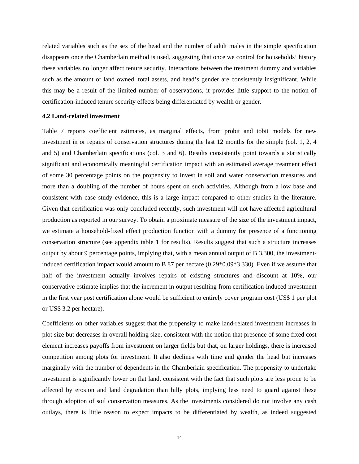related variables such as the sex of the head and the number of adult males in the simple specification disappears once the Chamberlain method is used, suggesting that once we control for households' history these variables no longer affect tenure security. Interactions between the treatment dummy and variables such as the amount of land owned, total assets, and head's gender are consistently insignificant. While this may be a result of the limited number of observations, it provides little support to the notion of certification-induced tenure security effects being differentiated by wealth or gender.

# **4.2 Land-related investment**

Table 7 reports coefficient estimates, as marginal effects, from probit and tobit models for new investment in or repairs of conservation structures during the last 12 months for the simple (col. 1, 2, 4 and 5) and Chamberlain specifications (col. 3 and 6). Results consistently point towards a statistically significant and economically meaningful certification impact with an estimated average treatment effect of some 30 percentage points on the propensity to invest in soil and water conservation measures and more than a doubling of the number of hours spent on such activities. Although from a low base and consistent with case study evidence, this is a large impact compared to other studies in the literature. Given that certification was only concluded recently, such investment will not have affected agricultural production as reported in our survey. To obtain a proximate measure of the size of the investment impact, we estimate a household-fixed effect production function with a dummy for presence of a functioning conservation structure (see appendix table 1 for results). Results suggest that such a structure increases output by about 9 percentage points, implying that, with a mean annual output of B 3,300, the investmentinduced certification impact would amount to B 87 per hectare (0.29\*0.09\*3,330). Even if we assume that half of the investment actually involves repairs of existing structures and discount at 10%, our conservative estimate implies that the increment in output resulting from certification-induced investment in the first year post certification alone would be sufficient to entirely cover program cost (US\$ 1 per plot or US\$ 3.2 per hectare).

Coefficients on other variables suggest that the propensity to make land-related investment increases in plot size but decreases in overall holding size, consistent with the notion that presence of some fixed cost element increases payoffs from investment on larger fields but that, on larger holdings, there is increased competition among plots for investment. It also declines with time and gender the head but increases marginally with the number of dependents in the Chamberlain specification. The propensity to undertake investment is significantly lower on flat land, consistent with the fact that such plots are less prone to be affected by erosion and land degradation than hilly plots, implying less need to guard against these through adoption of soil conservation measures. As the investments considered do not involve any cash outlays, there is little reason to expect impacts to be differentiated by wealth, as indeed suggested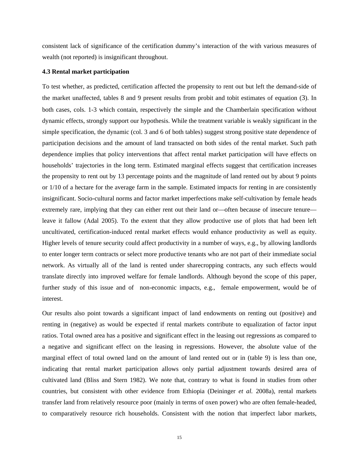consistent lack of significance of the certification dummy's interaction of the with various measures of wealth (not reported) is insignificant throughout.

#### **4.3 Rental market participation**

To test whether, as predicted, certification affected the propensity to rent out but left the demand-side of the market unaffected, tables 8 and 9 present results from probit and tobit estimates of equation ([3\)](#page-14-0). In both cases, cols. 1-3 which contain, respectively the simple and the Chamberlain specification without dynamic effects, strongly support our hypothesis. While the treatment variable is weakly significant in the simple specification, the dynamic (col. 3 and 6 of both tables) suggest strong positive state dependence of participation decisions and the amount of land transacted on both sides of the rental market. Such path dependence implies that policy interventions that affect rental market participation will have effects on households' trajectories in the long term. Estimated marginal effects suggest that certification increases the propensity to rent out by 13 percentage points and the magnitude of land rented out by about 9 points or 1/10 of a hectare for the average farm in the sample. Estimated impacts for renting in are consistently insignificant. Socio-cultural norms and factor market imperfections make self-cultivation by female heads extremely rare, implying that they can either rent out their land or—often because of insecure tenure leave it fallow (Adal 2005). To the extent that they allow productive use of plots that had been left uncultivated, certification-induced rental market effects would enhance productivity as well as equity. Higher levels of tenure security could affect productivity in a number of ways, e.g., by allowing landlords to enter longer term contracts or select more productive tenants who are not part of their immediate social network. As virtually all of the land is rented under sharecropping contracts, any such effects would translate directly into improved welfare for female landlords. Although beyond the scope of this paper, further study of this issue and of non-economic impacts, e.g., female empowerment, would be of interest.

Our results also point towards a significant impact of land endowments on renting out (positive) and renting in (negative) as would be expected if rental markets contribute to equalization of factor input ratios. Total owned area has a positive and significant effect in the leasing out regressions as compared to a negative and significant effect on the leasing in regressions. However, the absolute value of the marginal effect of total owned land on the amount of land rented out or in (table 9) is less than one, indicating that rental market participation allows only partial adjustment towards desired area of cultivated land (Bliss and Stern 1982). We note that, contrary to what is found in studies from other countries, but consistent with other evidence from Ethiopia (Deininger *et al.* 2008a), rental markets transfer land from relatively resource poor (mainly in terms of oxen power) who are often female-headed, to comparatively resource rich households. Consistent with the notion that imperfect labor markets,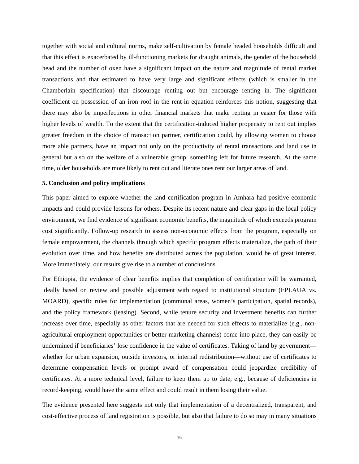together with social and cultural norms, make self-cultivation by female headed households difficult and that this effect is exacerbated by ill-functioning markets for draught animals, the gender of the household head and the number of oxen have a significant impact on the nature and magnitude of rental market transactions and that estimated to have very large and significant effects (which is smaller in the Chamberlain specification) that discourage renting out but encourage renting in. The significant coefficient on possession of an iron roof in the rent-in equation reinforces this notion, suggesting that there may also be imperfections in other financial markets that make renting in easier for those with higher levels of wealth. To the extent that the certification-induced higher propensity to rent out implies greater freedom in the choice of transaction partner, certification could, by allowing women to choose more able partners, have an impact not only on the productivity of rental transactions and land use in general but also on the welfare of a vulnerable group, something left for future research. At the same time, older households are more likely to rent out and literate ones rent our larger areas of land.

#### **5. Conclusion and policy implications**

This paper aimed to explore whether the land certification program in Amhara had positive economic impacts and could provide lessons for others. Despite its recent nature and clear gaps in the local policy environment, we find evidence of significant economic benefits, the magnitude of which exceeds program cost significantly. Follow-up research to assess non-economic effects from the program, especially on female empowerment, the channels through which specific program effects materialize, the path of their evolution over time, and how benefits are distributed across the population, would be of great interest. More immediately, our results give rise to a number of conclusions.

For Ethiopia, the evidence of clear benefits implies that completion of certification will be warranted, ideally based on review and possible adjustment with regard to institutional structure (EPLAUA vs. MOARD), specific rules for implementation (communal areas, women's participation, spatial records), and the policy framework (leasing). Second, while tenure security and investment benefits can further increase over time, especially as other factors that are needed for such effects to materialize (e.g., nonagricultural employment opportunities or better marketing channels) come into place, they can easily be undermined if beneficiaries' lose confidence in the value of certificates. Taking of land by government whether for urban expansion, outside investors, or internal redistribution—without use of certificates to determine compensation levels or prompt award of compensation could jeopardize credibility of certificates. At a more technical level, failure to keep them up to date, e.g., because of deficiencies in record-keeping, would have the same effect and could result in them losing their value.

The evidence presented here suggests not only that implementation of a decentralized, transparent, and cost-effective process of land registration is possible, but also that failure to do so may in many situations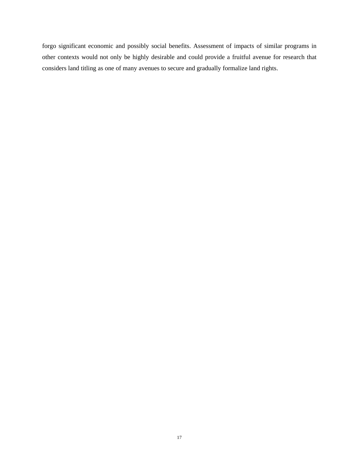forgo significant economic and possibly social benefits. Assessment of impacts of similar programs in other contexts would not only be highly desirable and could provide a fruitful avenue for research that considers land titling as one of many avenues to secure and gradually formalize land rights.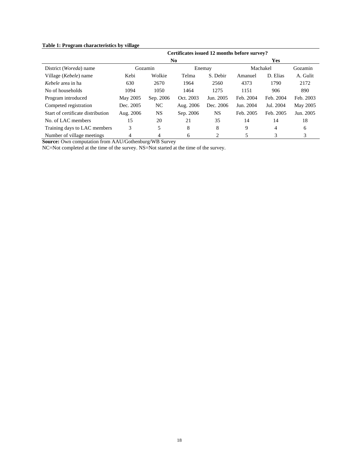# **Table 1: Program characteristics by village**

|                                   |           |           | Certificates issued 12 months before survey? |           |           |           |           |
|-----------------------------------|-----------|-----------|----------------------------------------------|-----------|-----------|-----------|-----------|
|                                   |           |           | No.                                          |           |           | Yes       |           |
| District ( <i>Woreda</i> ) name   |           | Gozamin   |                                              | Enemay    |           | Machakel  | Gozamin   |
| Village ( <i>Kebele</i> ) name    | Kebi      | Wolkie    | Telma                                        | S. Debir  | Amanuel   | D. Elias  | A. Gulit  |
| <i>Kebele</i> area in ha          | 630       | 2670      | 1964                                         | 2560      | 4373      | 1790      | 2172      |
| No of households                  | 1094      | 1050      | 1464                                         | 1275      | 1151      | 906       | 890       |
| Program introduced                | May 2005  | Sep. 2006 | Oct. 2003                                    | Jun. 2005 | Feb. 2004 | Feb. 2004 | Feb. 2003 |
| Competed registration             | Dec. 2005 | NC.       | Aug. 2006                                    | Dec. 2006 | Jun. 2004 | Jul. 2004 | May 2005  |
| Start of certificate distribution | Aug. 2006 | NS.       | Sep. 2006                                    | NS.       | Feb. 2005 | Feb. 2005 | Jun. 2005 |
| No. of LAC members                | 15        | 20        | 21                                           | 35        | 14        | 14        | 18        |
| Training days to LAC members      | 3         | 5         | 8                                            | 8         | 9         | 4         | 6         |
| Number of village meetings        | 4         | 4         | 6                                            | 2         |           | 3         | 3         |

**Source:** Own computation from AAU/Gothenburg/WB Survey

NC=Not completed at the time of the survey. NS=Not started at the time of the survey.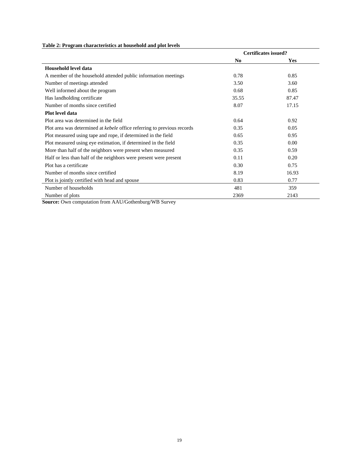# **Table 2: Program characteristics at household and plot levels**

|                                                                                | <b>Certificates issued?</b> |            |
|--------------------------------------------------------------------------------|-----------------------------|------------|
|                                                                                | N <sub>0</sub>              | <b>Yes</b> |
| Household level data                                                           |                             |            |
| A member of the household attended public information meetings                 | 0.78                        | 0.85       |
| Number of meetings attended                                                    | 3.50                        | 3.60       |
| Well informed about the program                                                | 0.68                        | 0.85       |
| Has landholding certificate                                                    | 35.55                       | 87.47      |
| Number of months since certified                                               | 8.07                        | 17.15      |
| Plot level data                                                                |                             |            |
| Plot area was determined in the field                                          | 0.64                        | 0.92       |
| Plot area was determined at <i>kebele</i> office referring to previous records | 0.35                        | 0.05       |
| Plot measured using tape and rope, if determined in the field                  | 0.65                        | 0.95       |
| Plot measured using eye estimation, if determined in the field                 | 0.35                        | 0.00       |
| More than half of the neighbors were present when measured                     | 0.35                        | 0.59       |
| Half or less than half of the neighbors were present were present              | 0.11                        | 0.20       |
| Plot has a certificate                                                         | 0.30                        | 0.75       |
| Number of months since certified                                               | 8.19                        | 16.93      |
| Plot is jointly certified with head and spouse                                 | 0.83                        | 0.77       |
| Number of households                                                           | 481                         | 359        |
| Number of plots                                                                | 2369                        | 2143       |

**Source:** Own computation from AAU/Gothenburg/WB Survey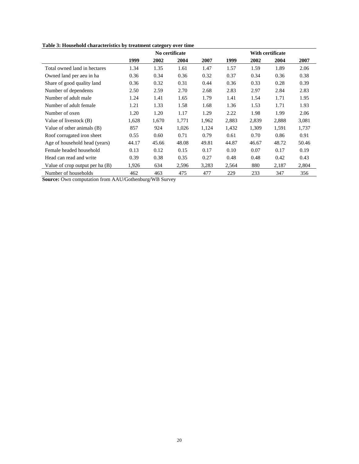| Table 3: Household characteristics by treatment category over time |  |  |
|--------------------------------------------------------------------|--|--|
|                                                                    |  |  |

|                                   |       | No certificate |       |       |       | With certificate |       |       |  |
|-----------------------------------|-------|----------------|-------|-------|-------|------------------|-------|-------|--|
|                                   | 1999  | 2002           | 2004  | 2007  | 1999  | 2002             | 2004  | 2007  |  |
| Total owned land in hectares      | 1.34  | 1.35           | 1.61  | 1.47  | 1.57  | 1.59             | 1.89  | 2.06  |  |
| Owned land per aeu in ha          | 0.36  | 0.34           | 0.36  | 0.32  | 0.37  | 0.34             | 0.36  | 0.38  |  |
| Share of good quality land        | 0.36  | 0.32           | 0.31  | 0.44  | 0.36  | 0.33             | 0.28  | 0.39  |  |
| Number of dependents              | 2.50  | 2.59           | 2.70  | 2.68  | 2.83  | 2.97             | 2.84  | 2.83  |  |
| Number of adult male              | 1.24  | 1.41           | 1.65  | 1.79  | 1.41  | 1.54             | 1.71  | 1.95  |  |
| Number of adult female            | 1.21  | 1.33           | 1.58  | 1.68  | 1.36  | 1.53             | 1.71  | 1.93  |  |
| Number of oxen                    | 1.20  | 1.20           | 1.17  | 1.29  | 2.22  | 1.98             | 1.99  | 2.06  |  |
| Value of livestock (B)            | 1,628 | 1,670          | 1,771 | 1,962 | 2,883 | 2,839            | 2,888 | 3,081 |  |
| Value of other animals (B)        | 857   | 924            | 1,026 | 1,124 | 1,432 | 1,309            | 1,591 | 1,737 |  |
| Roof corrugated iron sheet        | 0.55  | 0.60           | 0.71  | 0.79  | 0.61  | 0.70             | 0.86  | 0.91  |  |
| Age of household head (years)     | 44.17 | 45.66          | 48.08 | 49.81 | 44.87 | 46.67            | 48.72 | 50.46 |  |
| Female headed household           | 0.13  | 0.12           | 0.15  | 0.17  | 0.10  | 0.07             | 0.17  | 0.19  |  |
| Head can read and write           | 0.39  | 0.38           | 0.35  | 0.27  | 0.48  | 0.48             | 0.42  | 0.43  |  |
| Value of crop output per ha $(B)$ | 1,926 | 634            | 2,596 | 3,283 | 2,564 | 880              | 2,187 | 2,804 |  |
| Number of households              | 462   | 463            | 475   | 477   | 229   | 233              | 347   | 356   |  |

**Source:** Own computation from AAU/Gothenburg/WB Survey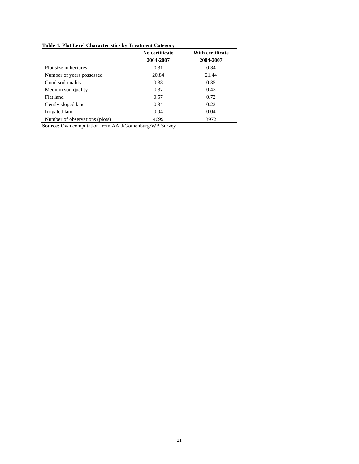# **Table 4: Plot Level Characteristics by Treatment Category**

|                                | No certificate | With certificate |
|--------------------------------|----------------|------------------|
|                                | 2004-2007      | 2004-2007        |
| Plot size in hectares          | 0.31           | 0.34             |
| Number of years possessed      | 20.84          | 21.44            |
| Good soil quality              | 0.38           | 0.35             |
| Medium soil quality            | 0.37           | 0.43             |
| Flat land                      | 0.57           | 0.72             |
| Gently sloped land             | 0.34           | 0.23             |
| Irrigated land                 | 0.04           | 0.04             |
| Number of observations (plots) | 4699           | 3972             |

**Source:** Own computation from AAU/Gothenburg/WB Survey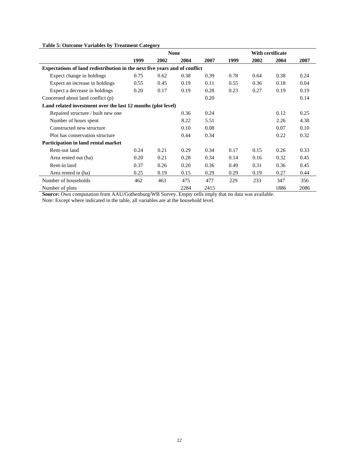# **Table 5: Outcome Variables by Treatment Category**

|                                                                            |      |      | <b>None</b> |      |      |      | With certificate |      |
|----------------------------------------------------------------------------|------|------|-------------|------|------|------|------------------|------|
|                                                                            | 1999 | 2002 | 2004        | 2007 | 1999 | 2002 | 2004             | 2007 |
| Expectations of land redistribution in the next five years and of conflict |      |      |             |      |      |      |                  |      |
| Expect change in holdings                                                  | 0.75 | 0.62 | 0.38        | 0.39 | 0.78 | 0.64 | 0.38             | 0.24 |
| Expect an increase in holdings                                             | 0.55 | 0.45 | 0.19        | 0.11 | 0.55 | 0.36 | 0.18             | 0.04 |
| Expect a decrease in holdings                                              | 0.20 | 0.17 | 0.19        | 0.28 | 0.23 | 0.27 | 0.19             | 0.19 |
| Concerned about land conflict (p)                                          |      |      |             | 0.20 |      |      |                  | 0.14 |
| Land related investment over the last 12 months (plot level)               |      |      |             |      |      |      |                  |      |
| Repaired structure / built new one                                         |      |      | 0.36        | 0.24 |      |      | 0.12             | 0.25 |
| Number of hours spent                                                      |      |      | 8.22        | 5.51 |      |      | 2.26             | 4.38 |
| Constructed new structure                                                  |      |      | 0.10        | 0.08 |      |      | 0.07             | 0.10 |
| Plot has conservation structure                                            |      |      | 0.44        | 0.34 |      |      | 0.22             | 0.32 |
| Participation in land rental market                                        |      |      |             |      |      |      |                  |      |
| Rent-out land                                                              | 0.24 | 0.21 | 0.29        | 0.34 | 0.17 | 0.15 | 0.26             | 0.33 |
| Area rented out (ha)                                                       | 0.20 | 0.21 | 0.28        | 0.34 | 0.14 | 0.16 | 0.32             | 0.45 |
| Rent-in land                                                               | 0.37 | 0.26 | 0.20        | 0.36 | 0.49 | 0.31 | 0.36             | 0.45 |
| Area rented in (ha)                                                        | 0.25 | 0.19 | 0.15        | 0.29 | 0.29 | 0.19 | 0.27             | 0.44 |
| Number of households                                                       | 462  | 463  | 475         | 477  | 229  | 233  | 347              | 356  |
| Number of plots                                                            |      |      | 2284        | 2415 |      |      | 1886             | 2086 |

**Source:** Own computation from AAU/Gothenburg/WB Survey. Empty cells imply that no data was available.

Note: Except where indicated in the table, all variables are at the household level.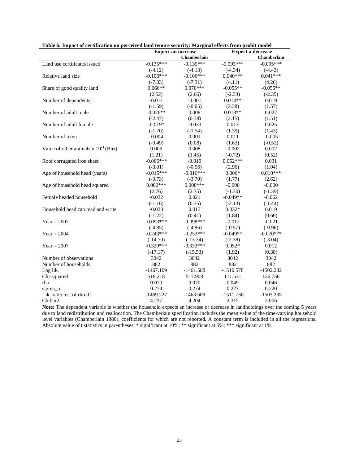| rabic v. mipaci vi ceruncation on perceived ianu tenure security. Marginal encets from probit model | <b>Expect an increase</b> | <b>Expect a decrease</b> |             |             |  |
|-----------------------------------------------------------------------------------------------------|---------------------------|--------------------------|-------------|-------------|--|
|                                                                                                     |                           | <b>Chamberlain</b>       |             | Chamberlain |  |
| Land use certificates issued                                                                        | $-0.135***$               | $-0.135***$              | $-0.093***$ | $-0.095***$ |  |
|                                                                                                     | $(-4.12)$                 | $(-4.13)$                | $(-4.34)$   | $(-4.43)$   |  |
| Relative land size                                                                                  | $-0.106***$               | $-0.106***$              | $0.040***$  | $0.041***$  |  |
|                                                                                                     | $(-7.33)$                 | $(-7.31)$                | (4.11)      | (4.26)      |  |
| Share of good quality land                                                                          | $0.066**$                 | $0.070***$               | $-0.055**$  | $-0.055**$  |  |
|                                                                                                     | (2.52)                    | (2.66)                   | $(-2.33)$   | $(-2.35)$   |  |
| Number of dependents                                                                                | $-0.011$                  | $-0.001$                 | $0.014**$   | 0.019       |  |
|                                                                                                     | $(-1.59)$                 | $(-0.05)$                | (2.38)      | (1.57)      |  |
| Number of adult male                                                                                | $-0.026**$                | 0.008                    | $0.018**$   | 0.027       |  |
|                                                                                                     | $(-2.47)$                 | (0.38)                   | (2.15)      | (1.51)      |  |
| Number of adult female                                                                              | $-0.019*$                 | $-0.033$                 | 0.013       | 0.025       |  |
|                                                                                                     | $(-1.70)$                 | $(-1.54)$                | (1.39)      | (1.43)      |  |
| Number of oxen                                                                                      | $-0.004$                  | 0.001                    | 0.011       | $-0.005$    |  |
|                                                                                                     | $(-0.49)$                 | (0.08)                   | (1.63)      | $(-0.52)$   |  |
| Value of other animals x $10^{-3}$ (Birr)                                                           | 0.006                     | 0.008                    | $-0.002$    | 0.002       |  |
|                                                                                                     | (1.21)                    | (1.45)                   | $(-0.72)$   | (0.52)      |  |
| Roof corrugated iron sheet                                                                          | $-0.066***$               | $-0.019$                 | $0.052***$  | 0.031       |  |
|                                                                                                     | $(-3.01)$                 | $(-0.56)$                | (2.90)      | (1.04)      |  |
| Age of household head (years)                                                                       | $-0.015***$               | $-0.016***$              | $0.006*$    | $0.010***$  |  |
|                                                                                                     | $(-3.73)$                 | $(-3.70)$                | (1.77)      | (2.62)      |  |
| Age of household head squared                                                                       | $0.000***$                | $0.000***$               | $-0.000$    | $-0.000$    |  |
|                                                                                                     | (2.76)                    | (2.75)                   | $(-1.30)$   | $(-1.39)$   |  |
| Female headed household                                                                             | $-0.032$                  | 0.021                    | $-0.049**$  | $-0.062$    |  |
|                                                                                                     | $(-1.16)$                 | (0.35)                   | $(-2.13)$   | $(-1.44)$   |  |
| Household head can read and write                                                                   | $-0.023$                  | 0.013                    | $0.032*$    | 0.019       |  |
|                                                                                                     | $(-1.22)$                 | (0.41)                   | (1.84)      | (0.66)      |  |
| $Year = 2002$                                                                                       | $-0.093***$               | $-0.098***$              | $-0.012$    | $-0.021$    |  |
|                                                                                                     | $(-4.85)$                 | $(-4.96)$                | $(-0.57)$   | $(-0.96)$   |  |
| $Year = 2004$                                                                                       | $-0.243***$               | $-0.253***$              | $-0.049**$  | $-0.070***$ |  |
|                                                                                                     | $(-14.70)$                | $(-13.34)$               | $(-2.38)$   | $(-3.04)$   |  |
| $Year = 2007$                                                                                       | $-0.320***$               | $-0.333***$              | $0.052*$    | 0.012       |  |
|                                                                                                     | $(-17.17)$                | $(-15.53)$               | (1.92)      | (0.38)      |  |
| Number of observations                                                                              | 3042                      | 3042                     | 3042        | 3042        |  |
| Number of households                                                                                | 882                       | 882                      | 882         | 882         |  |
| Log lik.                                                                                            | $-1467.109$               | $-1461.588$              | $-1510.578$ | $-1502.232$ |  |
| Chi-squared                                                                                         | 518.218                   | 517.908                  | 111.531     | 126.756     |  |
| rho                                                                                                 | 0.070                     | 0.070                    | 0.049       | 0.046       |  |
| sigma u                                                                                             | 0.274                     | 0.274                    | 0.227       | 0.220       |  |
| Lik.-ratio test of rho=0                                                                            | $-1469.227$               | $-1463.689$              | $-1511.736$ | $-1503.235$ |  |
| Chibar2                                                                                             | 4.237                     | 4.204                    | 2.315       | 2.006       |  |

| Table 6: Impact of certification on perceived land tenure security: Marginal effects from probit model |  |  |  |
|--------------------------------------------------------------------------------------------------------|--|--|--|
|                                                                                                        |  |  |  |

**Note:** The dependent variable is whether the household expects an increase or decrease in landholdings over the coming 5 years due to land redistribution and reallocation. The Chamberlain specification includes the mean value of the time-varying household level variables (Chamberlain 1980), coefficients for which are not reported. A constant term is included in all the regressions. Absolute value of t statistics in parentheses; \* significant at 10%; \*\* significant at 5%; \*\*\* significant at 1%.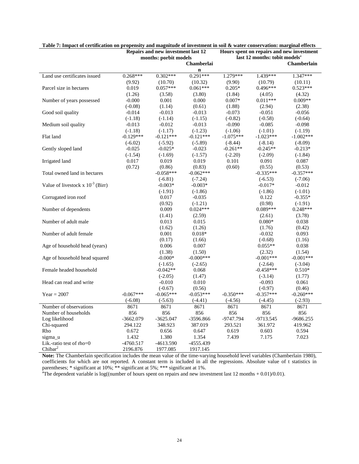|                                       |             | Repairs and new investment last 12 |              | Hours spent on repairs and new investment<br>last 12 months: tobit models <sup>a</sup> |             |                    |  |
|---------------------------------------|-------------|------------------------------------|--------------|----------------------------------------------------------------------------------------|-------------|--------------------|--|
|                                       |             | months: porbit models              |              |                                                                                        |             |                    |  |
|                                       |             |                                    | Chamberlai   |                                                                                        |             | <b>Chamberlain</b> |  |
|                                       |             |                                    | $\mathbf n$  |                                                                                        |             |                    |  |
| Land use certificates issued          | $0.268***$  | $0.302***$                         | $0.291***$   | 1.279***                                                                               | 1.439***    | 1.347***           |  |
|                                       | (9.92)      | (10.70)                            | (10.32)      | (9.90)                                                                                 | (10.79)     | (10.11)            |  |
| Parcel size in hectares               | 0.019       | $0.057***$                         | $0.061***$   | $0.205*$                                                                               | $0.496***$  | $0.523***$         |  |
|                                       | (1.26)      | (3.58)                             | (3.80)       | (1.84)                                                                                 | (4.05)      | (4.32)             |  |
| Number of years possessed             | $-0.000$    | 0.001                              | 0.000        | $0.007*$                                                                               | $0.011***$  | $0.009**$          |  |
|                                       | $(-0.08)$   | (1.14)                             | (0.61)       | (1.88)                                                                                 | (2.94)      | (2.38)             |  |
| Good soil quality                     | $-0.014$    | $-0.013$                           | $-0.013$     | $-0.073$                                                                               | $-0.051$    | $-0.056$           |  |
|                                       | $(-1.18)$   | $(-1.14)$                          | $(-1.15)$    | $(-0.82)$                                                                              | $(-0.58)$   | $(-0.64)$          |  |
| Medium soil quality                   | $-0.013$    | $-0.012$                           | $-0.013$     | $-0.090$                                                                               | $-0.085$    | $-0.098$           |  |
|                                       | $(-1.18)$   | $(-1.17)$                          | $(-1.23)$    | $(-1.06)$                                                                              | $(-1.01)$   | $(-1.19)$          |  |
| Flat land                             | $-0.129***$ | $-0.121***$                        | $-0.121***$  | $-1.075***$                                                                            | $-1.023***$ | $-1.002***$        |  |
|                                       | $(-6.02)$   | $(-5.92)$                          | $(-5.89)$    | $(-8.44)$                                                                              | $(-8.14)$   | $(-8.09)$          |  |
| Gently sloped land                    | $-0.025$    | $-0.025*$                          | $-0.023$     | $-0.261**$                                                                             | $-0.245**$  | $-0.213*$          |  |
|                                       | $(-1.54)$   | $(-1.69)$                          | $(-1.57)$    | $(-2.20)$                                                                              | $(-2.09)$   | $(-1.84)$          |  |
| Irrigated land                        | 0.017       | 0.019                              | 0.019        | 0.101                                                                                  | 0.091       | 0.087              |  |
|                                       | (0.72)      | (0.86)                             | (0.83)       | (0.60)                                                                                 | (0.55)      | (0.53)             |  |
| Total owned land in hectares          |             | $-0.058***$                        | $-0.062***$  |                                                                                        | $-0.335***$ | $-0.357***$        |  |
|                                       |             | $(-6.81)$                          | $(-7.24)$    |                                                                                        | $(-6.53)$   | $(-7.06)$          |  |
| Value of livestock x $10^{-3}$ (Birr) |             | $-0.003*$                          | $-0.003*$    |                                                                                        | $-0.017*$   | $-0.012$           |  |
|                                       |             | $(-1.91)$                          | $(-1.86)$    |                                                                                        | $(-1.86)$   | $(-1.01)$          |  |
| Corrugated iron roof                  |             | 0.017                              | $-0.035$     |                                                                                        | 0.122       | $-0.355*$          |  |
|                                       |             | (0.92)                             | $(-1.21)$    |                                                                                        | (0.98)      | $(-1.91)$          |  |
| Number of dependents                  |             | 0.009                              | $0.024***$   |                                                                                        | $0.089***$  | $0.248***$         |  |
|                                       |             | (1.41)                             | (2.59)       |                                                                                        | (2.61)      | (3.78)             |  |
| Number of adult male                  |             | 0.013                              | 0.015        |                                                                                        | $0.080*$    | 0.038              |  |
|                                       |             | (1.62)                             | (1.26)       |                                                                                        | (1.76)      | (0.42)             |  |
| Number of adult female                |             | 0.001                              | $0.018*$     |                                                                                        | $-0.032$    | 0.093              |  |
|                                       |             | (0.17)                             | (1.66)       |                                                                                        | $(-0.68)$   | (1.16)             |  |
| Age of household head (years)         |             | 0.006                              | 0.007        |                                                                                        | $0.055**$   | 0.038              |  |
|                                       |             | (1.38)                             | (1.50)       |                                                                                        | (2.32)      | (1.54)             |  |
| Age of household head squared         |             | $-0.000*$                          | $-0.000$ *** |                                                                                        | $-0.001***$ | $-0.001***$        |  |
|                                       |             | $(-1.65)$                          | $(-2.65)$    |                                                                                        | $(-2.64)$   | $(-3.04)$          |  |
| Female headed household               |             | $-0.042**$                         | 0.068        |                                                                                        | $-0.458***$ | $0.510*$           |  |
|                                       |             | $(-2.05)$                          | (1.47)       |                                                                                        | $(-3.14)$   | (1.77)             |  |
| Head can read and write               |             | $-0.010$                           | 0.010        |                                                                                        | $-0.093$    | 0.061              |  |
|                                       |             | $(-0.67)$                          | (0.56)       |                                                                                        | $(-0.97)$   | (0.46)             |  |
| $Year = 2007$                         | $-0.067***$ | $-0.065***$                        | $-0.053***$  | $-0.350***$                                                                            | $-0.357***$ | $-0.260***$        |  |
|                                       | $(-6.08)$   | $(-5.63)$                          | $(-4.41)$    | $(-4.56)$                                                                              | $(-4.45)$   | $(-2.93)$          |  |
| Number of observations                | 8671        | 8671                               | 8671         | 8671                                                                                   | 8671        | 8671               |  |
| Number of households                  | 856         | 856                                | 856          | 856                                                                                    | 856         | 856                |  |
| Log likelihood                        | $-3662.079$ | $-3625.047$                        | -3596.866    | -9747.794                                                                              | -9713.545   | $-9686.255$        |  |
| Chi-squared                           | 294.122     | 348.923                            | 387.019      | 293.521                                                                                | 361.972     | 419.962            |  |
| Rho                                   | 0.672       | 0.656                              | 0.647        | 0.619                                                                                  | 0.603       | 0.594              |  |
| sigma u                               | 1.432       | 1.380                              | 1.354        | 7.439                                                                                  | 7.175       | 7.023              |  |
| Lik.-ratio test of $rho=0$            | $-4760.517$ | $-4613.590$                        | -4555.439    |                                                                                        |             |                    |  |
| Chibar <sup>2</sup>                   | 2196.876    | 1977.085                           | 1917.145     |                                                                                        |             |                    |  |

| Table 7: Impact of certification on propensity and magnitude of investment in soil & water conservation: marginal effects |  |                                                                 |  |  |  |  |  |  |
|---------------------------------------------------------------------------------------------------------------------------|--|-----------------------------------------------------------------|--|--|--|--|--|--|
|                                                                                                                           |  | $\mathbf{r}$ . The set of $\mathbf{r}$ is a set of $\mathbf{r}$ |  |  |  |  |  |  |

**Note:** The Chamberlain specification includes the mean value of the time-varying household level variables (Chamberlain 1980), coefficients for which are not reported. A constant term is included in all the regressions. Absolute value of t statistics in parentheses; \* significant at 10%; \*\* significant at 5%; \*\*\* significant at 1%.<br>"The dependent variable is log((number of hours spent on repairs and new investment last 12 months + 0.01)/0.01).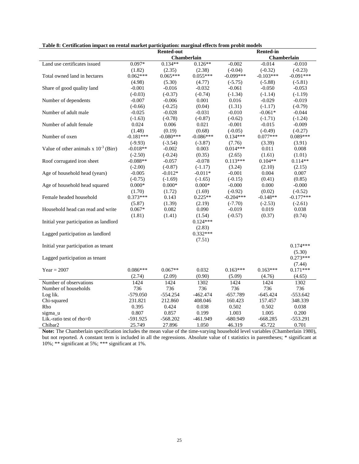| <b>Rented-in</b><br><b>Rented-out</b><br><b>Chamberlain</b><br><b>Chamberlain</b><br>Land use certificates issued<br>$0.097*$<br>$0.134**$<br>$0.126**$<br>$-0.002$<br>$-0.014$<br>$-0.010$<br>(1.82)<br>(2.35)<br>(2.38)<br>$(-0.04)$<br>$(-0.32)$<br>$(-0.23)$<br>Total owned land in hectares<br>$0.062***$<br>$0.065***$<br>$0.055***$<br>$-0.099***$<br>$-0.103***$<br>$-0.091***$ |  |
|-----------------------------------------------------------------------------------------------------------------------------------------------------------------------------------------------------------------------------------------------------------------------------------------------------------------------------------------------------------------------------------------|--|
|                                                                                                                                                                                                                                                                                                                                                                                         |  |
|                                                                                                                                                                                                                                                                                                                                                                                         |  |
|                                                                                                                                                                                                                                                                                                                                                                                         |  |
|                                                                                                                                                                                                                                                                                                                                                                                         |  |
|                                                                                                                                                                                                                                                                                                                                                                                         |  |
| (4.98)<br>(5.30)<br>(4.77)<br>$(-5.75)$<br>$(-5.88)$<br>$(-5.81)$                                                                                                                                                                                                                                                                                                                       |  |
| Share of good quality land<br>$-0.001$<br>$-0.016$<br>$-0.032$<br>$-0.061$<br>$-0.050$<br>$-0.053$                                                                                                                                                                                                                                                                                      |  |
| $(-0.03)$<br>$(-0.37)$<br>$(-0.74)$<br>$(-1.34)$<br>$(-1.14)$<br>$(-1.19)$                                                                                                                                                                                                                                                                                                              |  |
| Number of dependents<br>$-0.007$<br>$-0.006$<br>0.001<br>0.016<br>$-0.029$<br>$-0.019$                                                                                                                                                                                                                                                                                                  |  |
| $(-0.66)$<br>$(-0.25)$<br>(0.04)<br>(1.31)<br>$(-1.17)$<br>$(-0.79)$                                                                                                                                                                                                                                                                                                                    |  |
| Number of adult male<br>$-0.025$<br>$-0.028$<br>$-0.031$<br>$-0.010$<br>$-0.061*$<br>$-0.044$                                                                                                                                                                                                                                                                                           |  |
| $(-0.87)$<br>$(-1.63)$<br>$(-0.78)$<br>$(-0.62)$<br>$(-1.71)$<br>$(-1.24)$                                                                                                                                                                                                                                                                                                              |  |
| Number of adult female<br>0.006<br>0.021<br>$-0.001$<br>$-0.015$<br>$-0.009$<br>0.024                                                                                                                                                                                                                                                                                                   |  |
| (1.48)<br>(0.19)<br>(0.68)<br>$(-0.05)$<br>$(-0.49)$<br>$(-0.27)$                                                                                                                                                                                                                                                                                                                       |  |
| $-0.181***$<br>$0.077***$<br>0.089***<br>Number of oxen<br>$-0.080***$<br>$-0.086***$<br>$0.134***$                                                                                                                                                                                                                                                                                     |  |
| $(-9.93)$<br>$(-3.54)$<br>$(-3.87)$<br>(3.39)<br>(3.91)<br>(7.76)                                                                                                                                                                                                                                                                                                                       |  |
| Value of other animals x $10^{-3}$ (Birr)<br>$-0.018**$<br>0.003<br>$0.014***$<br>0.011<br>0.008<br>$-0.002$                                                                                                                                                                                                                                                                            |  |
| $(-2.50)$<br>(0.35)<br>(1.61)<br>$(-0.24)$<br>(2.65)<br>(1.01)                                                                                                                                                                                                                                                                                                                          |  |
| Roof corrugated iron sheet<br>$-0.078$<br>$0.113***$<br>$0.104**$<br>$0.114**$<br>$-0.088**$<br>$-0.057$                                                                                                                                                                                                                                                                                |  |
| $(-2.00)$<br>$(-0.87)$<br>$(-1.17)$<br>(2.10)<br>(3.24)<br>(2.15)                                                                                                                                                                                                                                                                                                                       |  |
| Age of household head (years)<br>$-0.005$<br>$-0.012*$<br>$-0.011*$<br>$-0.001$<br>0.004<br>0.007                                                                                                                                                                                                                                                                                       |  |
| $(-0.75)$<br>$(-1.69)$<br>$(-1.65)$<br>$(-0.15)$<br>(0.41)<br>(0.85)                                                                                                                                                                                                                                                                                                                    |  |
| Age of household head squared<br>$0.000*$<br>$0.000*$<br>$0.000*$<br>$-0.000$<br>0.000<br>$-0.000$                                                                                                                                                                                                                                                                                      |  |
| (1.70)<br>(1.72)<br>(1.69)<br>$(-0.92)$<br>(0.02)<br>$(-0.52)$                                                                                                                                                                                                                                                                                                                          |  |
| Female headed household<br>$0.373***$<br>$-0.204***$<br>$-0.177***$<br>0.143<br>$0.225**$<br>$-0.148**$                                                                                                                                                                                                                                                                                 |  |
| (5.87)<br>(1.39)<br>$(-7.70)$<br>(2.19)<br>$(-2.53)$<br>$(-2.61)$                                                                                                                                                                                                                                                                                                                       |  |
| $0.067*$<br>0.019<br>Household head can read and write<br>0.082<br>0.090<br>$-0.019$<br>0.038                                                                                                                                                                                                                                                                                           |  |
|                                                                                                                                                                                                                                                                                                                                                                                         |  |
| (0.37)<br>(1.81)<br>(1.41)<br>(1.54)<br>$(-0.57)$<br>(0.74)                                                                                                                                                                                                                                                                                                                             |  |
| $0.124***$<br>Initial year participation as landlord                                                                                                                                                                                                                                                                                                                                    |  |
| (2.83)                                                                                                                                                                                                                                                                                                                                                                                  |  |
| $0.332***$<br>Lagged participation as landlord                                                                                                                                                                                                                                                                                                                                          |  |
| (7.51)                                                                                                                                                                                                                                                                                                                                                                                  |  |
| $0.174***$<br>Initial year participation as tenant                                                                                                                                                                                                                                                                                                                                      |  |
| (5.30)                                                                                                                                                                                                                                                                                                                                                                                  |  |
| $0.273***$<br>Lagged participation as tenant                                                                                                                                                                                                                                                                                                                                            |  |
| (7.44)                                                                                                                                                                                                                                                                                                                                                                                  |  |
| $0.086***$<br>$0.067**$<br>0.032<br>$0.163***$<br>$0.171***$<br>$Year = 2007$<br>$0.163***$                                                                                                                                                                                                                                                                                             |  |
| (0.90)<br>(2.74)<br>(2.09)<br>(5.09)<br>(4.76)<br>(4.65)                                                                                                                                                                                                                                                                                                                                |  |
| Number of observations<br>1424<br>1302<br>1424<br>1424<br>1424<br>1302                                                                                                                                                                                                                                                                                                                  |  |
| Number of households<br>736<br>736<br>736<br>736<br>736<br>736                                                                                                                                                                                                                                                                                                                          |  |
| $-579.050$<br>$-554.254$<br>$-462.474$<br>$-657.789$<br>$-645.424$<br>$-553.642$<br>Log lik.                                                                                                                                                                                                                                                                                            |  |
| 212.860<br>408.046<br>160.423<br>348.339<br>Chi-squared<br>231.821<br>157.457                                                                                                                                                                                                                                                                                                           |  |
| 0.395<br>0.502<br>0.502<br>Rho<br>0.424<br>0.038<br>0.038                                                                                                                                                                                                                                                                                                                               |  |
| 0.807<br>0.857<br>0.199<br>1.003<br>1.005<br>0.200<br>sigma u                                                                                                                                                                                                                                                                                                                           |  |
| Lik.-ratio test of rho=0<br>$-591.925$<br>$-568.202$<br>$-461.949$<br>$-680.949$<br>$-668.285$<br>$-553.291$                                                                                                                                                                                                                                                                            |  |
| 0.701<br>Chibar <sub>2</sub><br>25.749<br>27.896<br>1.050<br>46.319<br>45.722                                                                                                                                                                                                                                                                                                           |  |

|  |  |  |  | Table 8: Certification impact on rental market participation: marginal effects from probit models |
|--|--|--|--|---------------------------------------------------------------------------------------------------|
|--|--|--|--|---------------------------------------------------------------------------------------------------|

**Note:** The Chamberlain specification includes the mean value of the time-varying household level variables (Chamberlain 1980), but not reported. A constant term is included in all the regressions. Absolute value of t statistics in parentheses; \* significant at 10%; \*\* significant at 5%; \*\*\* significant at 1%.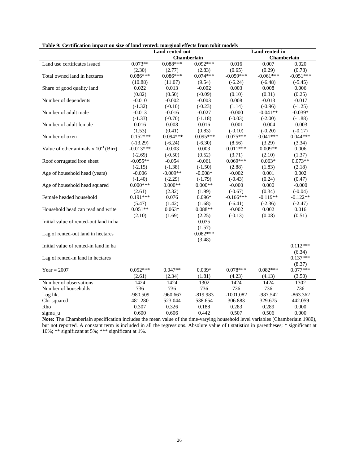|                                           | Land rented-out |                    |             | Land rented-in |                    |             |
|-------------------------------------------|-----------------|--------------------|-------------|----------------|--------------------|-------------|
|                                           |                 | <b>Chamberlain</b> |             |                | <b>Chamberlain</b> |             |
| Land use certificates issued              | $0.073**$       | $0.088***$         | $0.092***$  | 0.016          | 0.007              | 0.020       |
|                                           | (2.30)          | (2.77)             | (2.83)      | (0.65)         | (0.29)             | (0.78)      |
| Total owned land in hectares              | $0.086***$      | $0.086***$         | $0.074***$  | $-0.059***$    | $-0.061***$        | $-0.051***$ |
|                                           | (10.88)         | (11.07)            | (9.54)      | $(-6.24)$      | $(-6.48)$          | $(-5.45)$   |
| Share of good quality land                | 0.022           | 0.013              | $-0.002$    | 0.003          | 0.008              | 0.006       |
|                                           | (0.82)          | (0.50)             | $(-0.09)$   | (0.10)         | (0.31)             | (0.25)      |
| Number of dependents                      | $-0.010$        | $-0.002$           | $-0.003$    | 0.008          | $-0.013$           | $-0.017$    |
|                                           | $(-1.32)$       | $(-0.10)$          | $(-0.23)$   | (1.14)         | $(-0.96)$          | $(-1.25)$   |
| Number of adult male                      | $-0.013$        | $-0.016$           | $-0.027$    | $-0.000$       | $-0.041**$         | $-0.039*$   |
|                                           | $(-1.33)$       | $(-0.70)$          | $(-1.18)$   | $(-0.03)$      | $(-2.00)$          | $(-1.88)$   |
| Number of adult female                    | 0.016           | 0.008              | 0.016       | $-0.001$       | $-0.004$           | $-0.003$    |
|                                           | (1.53)          | (0.41)             | (0.83)      | $(-0.10)$      | $(-0.20)$          | $(-0.17)$   |
| Number of oxen                            | $-0.152***$     | $-0.094***$        | $-0.095***$ | $0.075***$     | $0.041***$         | $0.044***$  |
|                                           | $(-13.29)$      | $(-6.24)$          | $(-6.30)$   | (8.56)         | (3.29)             | (3.34)      |
| Value of other animals x $10^{-3}$ (Birr) | $-0.013***$     | $-0.003$           | 0.003       | $0.011***$     | $0.009**$          | 0.006       |
|                                           | $(-2.69)$       | $(-0.50)$          | (0.52)      | (3.71)         | (2.10)             | (1.37)      |
| Roof corrugated iron sheet                | $-0.055**$      | $-0.054$           | $-0.061$    | $0.069***$     | $0.063*$           | $0.073**$   |
|                                           | $(-2.15)$       | $(-1.38)$          | $(-1.50)$   | (2.88)         | (1.83)             | (2.18)      |
| Age of household head (years)             | $-0.006$        | $-0.009**$         | $-0.008*$   | $-0.002$       | 0.001              | 0.002       |
|                                           | $(-1.40)$       | $(-2.29)$          | $(-1.79)$   | $(-0.43)$      | (0.24)             | (0.47)      |
| Age of household head squared             | $0.000***$      | $0.000**$          | $0.000**$   | $-0.000$       | 0.000              | $-0.000$    |
|                                           | (2.61)          | (2.32)             | (1.99)      | $(-0.67)$      | (0.34)             | $(-0.04)$   |
| Female headed household                   | $0.191***$      | 0.076              | $0.096*$    | $-0.166***$    | $-0.119**$         | $-0.122**$  |
|                                           | (5.47)          | (1.42)             | (1.68)      | $(-6.41)$      | $(-2.36)$          | $(-2.47)$   |
| Household head can read and write         | $0.051**$       | $0.063*$           | $0.088**$   | $-0.002$       | 0.002              | 0.016       |
|                                           | (2.10)          | (1.69)             | (2.25)      | $(-0.13)$      | (0.08)             | (0.51)      |
| Initial value of rented-out land in ha    |                 |                    | 0.035       |                |                    |             |
|                                           |                 |                    | (1.57)      |                |                    |             |
| Lag of rented-out land in hectares        |                 |                    | $0.082***$  |                |                    |             |
|                                           |                 |                    | (3.48)      |                |                    |             |
| Initial value of rented-in land in ha     |                 |                    |             |                |                    | $0.112***$  |
|                                           |                 |                    |             |                |                    | (6.34)      |
| Lag of rented-in land in hectares         |                 |                    |             |                |                    | $0.137***$  |
|                                           |                 |                    |             |                |                    | (8.37)      |
| $Year = 2007$                             | $0.052***$      | $0.047**$          | $0.039*$    | $0.078***$     | $0.082***$         | $0.077***$  |
|                                           | (2.61)          | (2.34)             | (1.81)      | (4.23)         | (4.13)             | (3.50)      |
| Number of observations                    | 1424            | 1424               | 1302        | 1424           | 1424               | 1302        |
| Number of households                      | 736             | 736                | 736         | 736            | 736                | 736         |
| Log lik.                                  | -980.509        | $-960.667$         | $-819.983$  | $-1001.082$    | $-987.542$         | $-863.362$  |
| Chi-squared                               | 481.280         | 523.044            | 538.654     | 306.883        | 329.675            | 442.059     |
| Rho                                       | 0.307           | 0.326              | 0.188       | 0.283          | 0.289              | 0.000       |
| sigma u                                   | 0.600           | 0.606              | 0.442       | 0.507          | 0.506              | 0.000       |

**Note:** The Chamberlain specification includes the mean value of the time-varying household level variables (Chamberlain 1980), but not reported. A constant term is included in all the regressions. Absolute value of t statistics in parentheses; \* significant at 10%; \*\* significant at 5%; \*\*\* significant at 1%.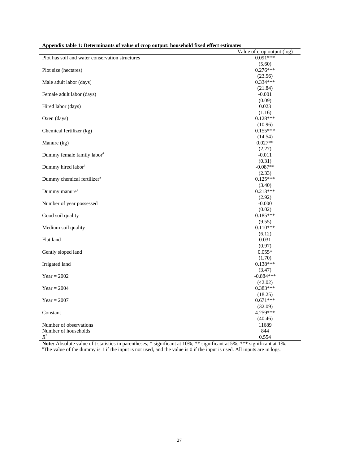| террения шок 1. Determinance от такее от сгор операт. посветоке нясе светника | Value of crop output (log) |
|-------------------------------------------------------------------------------|----------------------------|
| Plot has soil and water conservation structures                               | $0.091***$                 |
|                                                                               | (5.60)                     |
| Plot size (hectares)                                                          | $0.276***$                 |
|                                                                               | (23.56)                    |
| Male adult labor (days)                                                       | $0.334***$                 |
| Female adult labor (days)                                                     | (21.84)<br>$-0.001$        |
|                                                                               | (0.09)                     |
| Hired labor (days)                                                            | 0.023                      |
|                                                                               | (1.16)                     |
| Oxen (days)                                                                   | $0.128***$                 |
|                                                                               | (10.96)                    |
| Chemical fertilizer (kg)                                                      | $0.155***$                 |
|                                                                               | (14.54)                    |
| Manure (kg)                                                                   | $0.027**$                  |
|                                                                               | (2.27)                     |
| Dummy female family labor <sup>a</sup>                                        | $-0.011$                   |
|                                                                               | (0.31)                     |
| Dummy hired labor <sup>a</sup>                                                | $-0.087**$                 |
|                                                                               | (2.33)                     |
| Dummy chemical fertilizer <sup>a</sup>                                        | $0.125***$                 |
|                                                                               | (3.40)                     |
| Dummy manure <sup>a</sup>                                                     | $0.213***$                 |
|                                                                               | (2.92)                     |
| Number of year possessed                                                      | $-0.000$                   |
|                                                                               | (0.02)<br>$0.185***$       |
| Good soil quality                                                             |                            |
| Medium soil quality                                                           | (9.55)<br>$0.110***$       |
|                                                                               | (6.12)                     |
| Flat land                                                                     | 0.031                      |
|                                                                               | (0.97)                     |
| Gently sloped land                                                            | $0.055*$                   |
|                                                                               | (1.70)                     |
| Irrigated land                                                                | $0.138***$                 |
|                                                                               | (3.47)                     |
| $Year = 2002$                                                                 | $-0.884***$                |
|                                                                               | (42.02)                    |
| $Year = 2004$                                                                 | $0.383***$                 |
|                                                                               | (18.25)                    |
| Year = $2007$                                                                 | $0.671***$                 |
|                                                                               | (32.09)                    |
| Constant                                                                      | 4.259***                   |
| Number of observations                                                        | (40.46)<br>11689           |
| Number of households                                                          | 844                        |
| $R^2$                                                                         | 0.554                      |
|                                                                               |                            |

| Appendix table 1: Determinants of value of crop output: household fixed effect estimates |  |
|------------------------------------------------------------------------------------------|--|
|------------------------------------------------------------------------------------------|--|

**Note:** Absolute value of t statistics in parentheses; \* significant at  $10\%$ ; \*\* significant at  $5\%$ ; \*\*\* significant at  $1\%$ .<br><sup>a</sup>The value of the dummy is 1 if the input is not used, and the value is 0 if the input i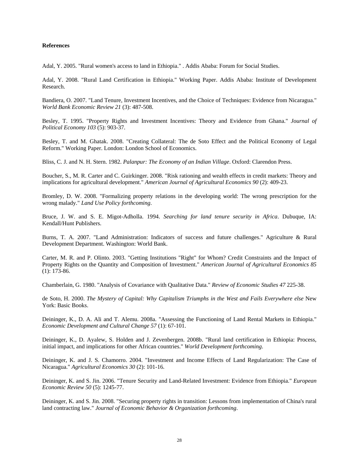#### **References**

Adal, Y. 2005. "Rural women's access to land in Ethiopia." . Addis Ababa: Forum for Social Studies.

Adal, Y. 2008. "Rural Land Certification in Ethiopia." Working Paper. Addis Ababa: Institute of Development Research.

Bandiera, O. 2007. "Land Tenure, Investment Incentives, and the Choice of Techniques: Evidence from Nicaragua." *World Bank Economic Review 21* (3): 487-508.

Besley, T. 1995. "Property Rights and Investment Incentives: Theory and Evidence from Ghana." *Journal of Political Economy 103* (5): 903-37.

Besley, T. and M. Ghatak. 2008. "Creating Collateral: The de Soto Effect and the Political Economy of Legal Reform." Working Paper. London: London School of Economics.

Bliss, C. J. and N. H. Stern. 1982. *Palanpur: The Economy of an Indian Village*. Oxford: Clarendon Press.

Boucher, S., M. R. Carter and C. Guirkinger. 2008. "Risk rationing and wealth effects in credit markets: Theory and implications for agricultural development." *American Journal of Agricultural Economics 90* (2): 409-23.

Bromley, D. W. 2008. "Formalizing property relations in the developing world: The wrong prescription for the wrong malady." *Land Use Policy forthcoming*.

Bruce, J. W. and S. E. Migot-Adholla. 1994. *Searching for land tenure security in Africa*. Dubuque, IA: Kendall/Hunt Publishers.

Burns, T. A. 2007. "Land Administration: Indicators of success and future challenges." Agriculture & Rural Development Department. Washington: World Bank.

Carter, M. R. and P. Olinto. 2003. "Getting Institutions "Right" for Whom? Credit Constraints and the Impact of Property Rights on the Quantity and Composition of Investment." *American Journal of Agricultural Economics 85* (1): 173-86.

Chamberlain, G. 1980. "Analysis of Covariance with Qualitative Data." *Review of Economic Studies 47* 225-38.

de Soto, H. 2000. *The Mystery of Capital: Why Capitalism Triumphs in the West and Fails Everywhere else* New York: Basic Books.

Deininger, K., D. A. Ali and T. Alemu. 2008a. "Assessing the Functioning of Land Rental Markets in Ethiopia." *Economic Development and Cultural Change 57* (1): 67-101.

Deininger, K., D. Ayalew, S. Holden and J. Zevenbergen. 2008b. "Rural land certification in Ethiopia: Process, initial impact, and implications for other African countries." *World Development forthcoming*.

Deininger, K. and J. S. Chamorro. 2004. "Investment and Income Effects of Land Regularization: The Case of Nicaragua." *Agricultural Economics 30* (2): 101-16.

Deininger, K. and S. Jin. 2006. "Tenure Security and Land-Related Investment: Evidence from Ethiopia." *European Economic Review 50* (5): 1245-77.

Deininger, K. and S. Jin. 2008. "Securing property rights in transition: Lessons from implementation of China's rural land contracting law." *Journal of Economic Behavior & Organization forthcoming*.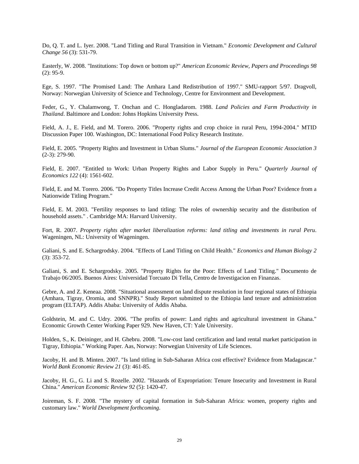Do, Q. T. and L. Iyer. 2008. "Land Titling and Rural Transition in Vietnam." *Economic Development and Cultural Change 56* (3): 531-79.

Easterly, W. 2008. "Institutions: Top down or bottom up?" *American Economic Review, Papers and Proceedings 98*  $(2): 95-9.$ 

Ege, S. 1997. "The Promised Land: The Amhara Land Redistribution of 1997." SMU-rapport 5/97. Dragvoll, Norway: Norwegian University of Science and Technology, Centre for Environment and Development.

Feder, G., Y. Chalamwong, T. Onchan and C. Hongladarom. 1988. *Land Policies and Farm Productivity in Thailand*. Baltimore and London: Johns Hopkins University Press.

Field, A. J., E. Field, and M. Torero. 2006. "Property rights and crop choice in rural Peru, 1994-2004." MTID Discussion Paper 100. Washington, DC: International Food Policy Research Institute.

Field, E. 2005. "Property Rights and Investment in Urban Slums." *Journal of the European Economic Association 3* (2-3): 279-90.

Field, E. 2007. "Entitled to Work: Urban Property Rights and Labor Supply in Peru." *Quarterly Journal of Economics 122* (4): 1561-602.

Field, E. and M. Torero. 2006. "Do Property Titles Increase Credit Access Among the Urban Poor? Evidence from a Nationwide Titling Program."

Field, E. M. 2003. "Fertility responses to land titling: The roles of ownership security and the distribution of household assets." . Cambridge MA: Harvard University.

Fort, R. 2007. *Property rights after market liberalization reforms: land titling and investments in rural Peru*. Wageningen, NL: University of Wageningen.

Galiani, S. and E. Schargrodsky. 2004. "Effects of Land Titling on Child Health." *Economics and Human Biology 2* (3): 353-72.

Galiani, S. and E. Schargrodsky. 2005. "Property Rights for the Poor: Effects of Land Titling." Documento de Trabajo 06/2005. Buenos Aires: Universidad Torcuato Di Tella, Centro de Investigacion en Finanzas.

Gebre, A. and Z. Keneaa. 2008. "Situational assessment on land dispute resolution in four regional states of Ethiopia (Amhara, Tigray, Oromia, and SNNPR)." Study Report submitted to the Ethiopia land tenure and administration program (ELTAP). Addis Ababa: University of Addis Ababa.

Goldstein, M. and C. Udry. 2006. "The profits of power: Land rights and agricultural investment in Ghana." Economic Growth Center Working Paper 929. New Haven, CT: Yale University.

Holden, S., K. Deininger, and H. Ghebru. 2008. "Low-cost land certification and land rental market participation in Tigray, Ethiopia." Working Paper. Aas, Norway: Norwegian University of Life Sciences.

Jacoby, H. and B. Minten. 2007. "Is land titling in Sub-Saharan Africa cost effective? Evidence from Madagascar." *World Bank Economic Review 21* (3): 461-85.

Jacoby, H. G., G. Li and S. Rozelle. 2002. "Hazards of Expropriation: Tenure Insecurity and Investment in Rural China." *American Economic Review 92* (5): 1420-47.

Joireman, S. F. 2008. "The mystery of capital formation in Sub-Saharan Africa: women, property rights and customary law." *World Development forthcoming*.